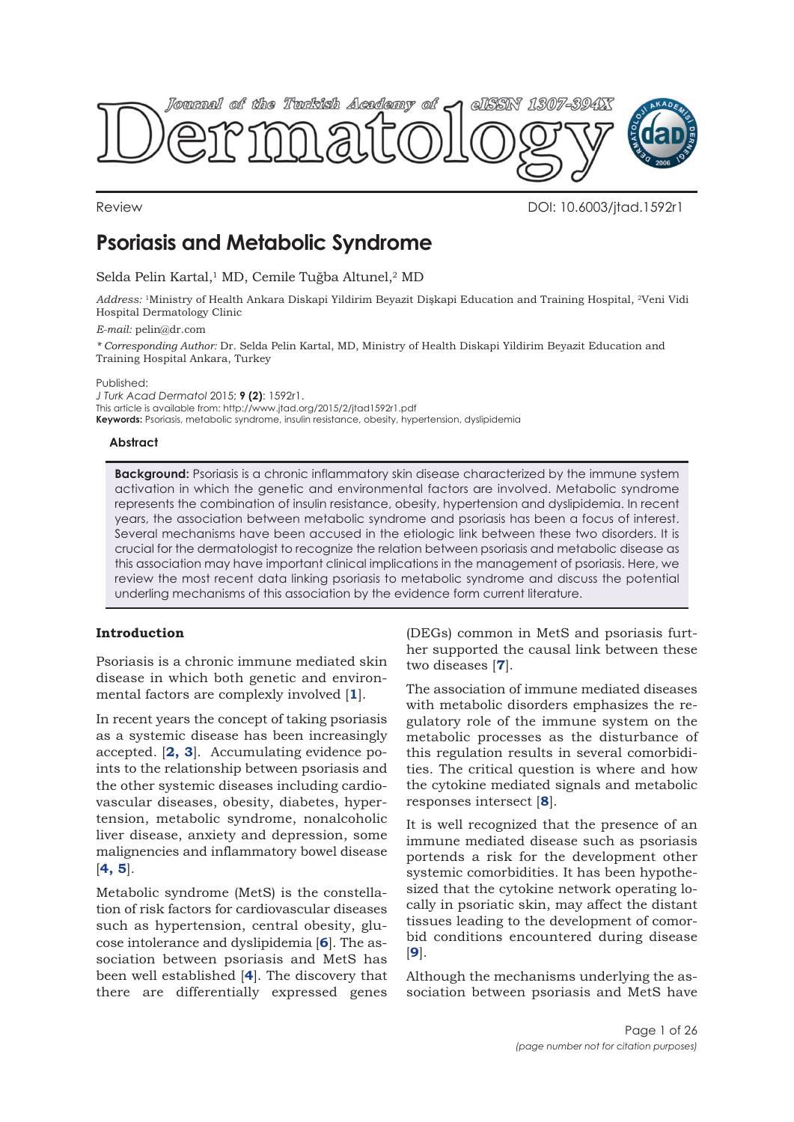

Review DOI: 10.6003/jtad.1592r1

# **Psoriasis and Metabolic Syndrome**

Selda Pelin Kartal,<sup>1</sup> MD, Cemile Tuğba Altunel,<sup>2</sup> MD

*Address:* 1Ministry of Health Ankara Diskapi Yildirim Beyazit Dişkapi Education and Training Hospital, 2Veni Vidi Hospital Dermatology Clinic

*E-mail:* pelin@dr.com

*\* Corresponding Author:* Dr. Selda Pelin Kartal, MD, Ministry of Health Diskapi Yildirim Beyazit Education and Training Hospital Ankara, Turkey

Published:

*J Turk Acad Dermatol* 2015; **9 (2)**: 1592r1. This article is available from: http://www.jtad.org/2015/2/jtad1592r1.pdf **Keywords:** Psoriasis, metabolic syndrome, insulin resistance, obesity, hypertension, dyslipidemia

## **Abstract**

**Background:** Psoriasis is a chronic inflammatory skin disease characterized by the immune system activation in which the genetic and environmental factors are involved. Metabolic syndrome represents the combination of insulin resistance, obesity, hypertension and dyslipidemia. In recent years, the association between metabolic syndrome and psoriasis has been a focus of interest. Several mechanisms have been accused in the etiologic link between these two disorders. It is crucial for the dermatologist to recognize the relation between psoriasis and metabolic disease as this association may have important clinical implications in the management of psoriasis. Here, we review the most recent data linking psoriasis to metabolic syndrome and discuss the potential underling mechanisms of this association by the evidence form current literature.

# **Introduction**

Psoriasis is a chronic immune mediated skin disease in which both genetic and environmental factors are complexly involved [**[1](#page-14-0)**].

In recent years the concept of taking psoriasis as a systemic disease has been increasingly accepted. [**[2, 3](#page-14-0)**]. Accumulating evidence points to the relationship between psoriasis and the other systemic diseases including cardiovascular diseases, obesity, diabetes, hypertension, metabolic syndrome, nonalcoholic liver disease, anxiety and depression, some malignencies and inflammatory bowel disease [**[4, 5](#page-14-0)**].

Metabolic syndrome (MetS) is the constellation of risk factors for cardiovascular diseases such as hypertension, central obesity, glucose intolerance and dyslipidemia [**[6](#page-14-0)**]. The association between psoriasis and MetS has been well established [**[4](#page-14-0)**]. The discovery that there are differentially expressed genes (DEGs) common in MetS and psoriasis further supported the causal link between these two diseases [**[7](#page-14-0)**].

The association of immune mediated diseases with metabolic disorders emphasizes the regulatory role of the immune system on the metabolic processes as the disturbance of this regulation results in several comorbidities. The critical question is where and how the cytokine mediated signals and metabolic responses intersect [**[8](#page-15-0)**].

It is well recognized that the presence of an immune mediated disease such as psoriasis portends a risk for the development other systemic comorbidities. It has been hypothesized that the cytokine network operating locally in psoriatic skin, may affect the distant tissues leading to the development of comorbid conditions encountered during disease [**[9](#page-15-0)**].

Although the mechanisms underlying the association between psoriasis and MetS have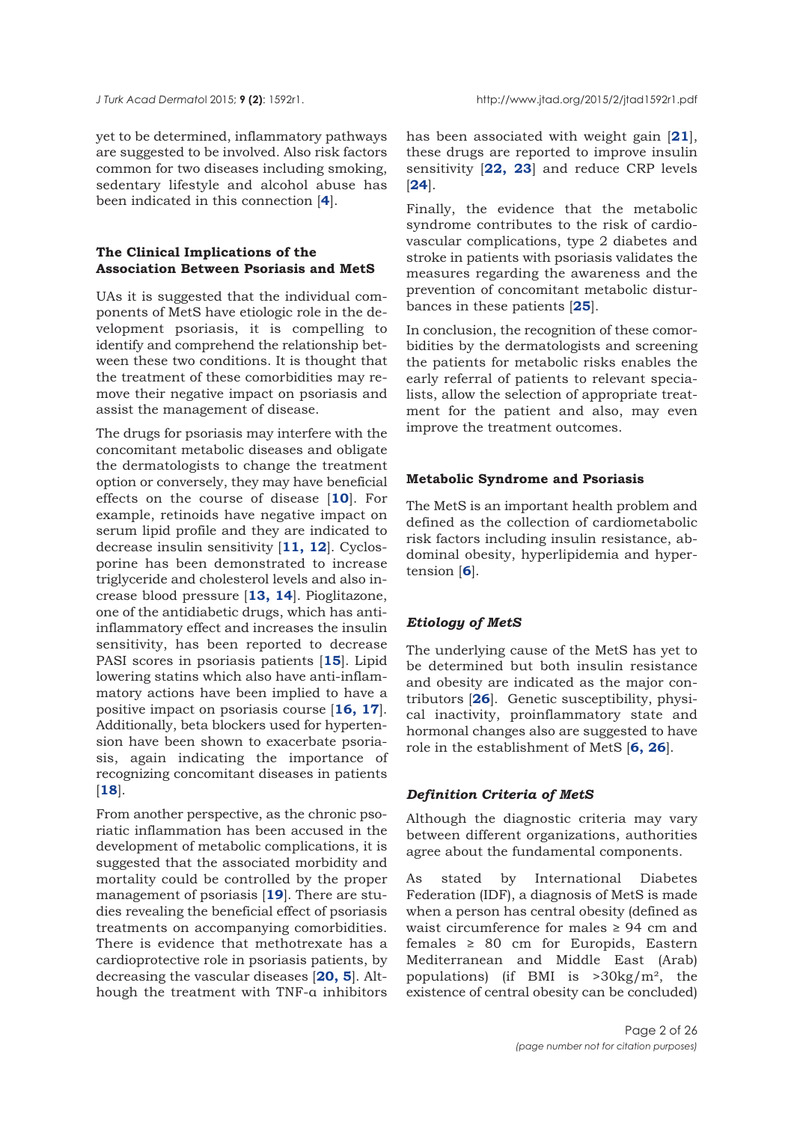yet to be determined, inflammatory pathways are suggested to be involved. Also risk factors common for two diseases including smoking, sedentary lifestyle and alcohol abuse has been indicated in this connection [**[4](#page-14-0)**].

## **The Clinical Implications of the Association Between Psoriasis and MetS**

UAs it is suggested that the individual components of MetS have etiologic role in the development psoriasis, it is compelling to identify and comprehend the relationship between these two conditions. It is thought that the treatment of these comorbidities may remove their negative impact on psoriasis and assist the management of disease.

The drugs for psoriasis may interfere with the concomitant metabolic diseases and obligate the dermatologists to change the treatment option or conversely, they may have beneficial effects on the course of disease [**[10](#page-15-0)**]. For example, retinoids have negative impact on serum lipid profile and they are indicated to decrease insulin sensitivity [**[11,](#page-15-0) [12](#page-15-0)**]. Cyclosporine has been demonstrated to increase triglyceride and cholesterol levels and also increase blood pressure [**[13, 14](#page-15-0)**]. Pioglitazone, one of the antidiabetic drugs, which has antiinflammatory effect and increases the insulin sensitivity, has been reported to decrease PASI scores in psoriasis patients [**[15](#page-15-0)**]. Lipid lowering statins which also have anti-inflammatory actions have been implied to have a positive impact on psoriasis course [**[16, 17](#page-15-0)**]. Additionally, beta blockers used for hypertension have been shown to exacerbate psoriasis, again indicating the importance of recognizing concomitant diseases in patients [**[18](#page-15-0)**].

From another perspective, as the chronic psoriatic inflammation has been accused in the development of metabolic complications, it is suggested that the associated morbidity and mortality could be controlled by the proper management of psoriasis [**[19](#page-15-0)**]. There are studies revealing the beneficial effect of psoriasis treatments on accompanying comorbidities. There is evidence that methotrexate has a cardioprotective role in psoriasis patients, by decreasing the vascular diseases [**[20,](#page-15-0) [5](#page-14-0)**]. Although the treatment with TNF-α inhibitors

has been associated with weight gain [**[21](#page-15-0)**], these drugs are reported to improve insulin sensitivity [**[22,](#page-15-0) [23](#page-15-0)**] and reduce CRP levels [**[24](#page-15-0)**].

Finally, the evidence that the metabolic syndrome contributes to the risk of cardiovascular complications, type 2 diabetes and stroke in patients with psoriasis validates the measures regarding the awareness and the prevention of concomitant metabolic disturbances in these patients [**[25](#page-15-0)**].

In conclusion, the recognition of these comorbidities by the dermatologists and screening the patients for metabolic risks enables the early referral of patients to relevant specialists, allow the selection of appropriate treatment for the patient and also, may even improve the treatment outcomes.

#### **Metabolic Syndrome and Psoriasis**

The MetS is an important health problem and defined as the collection of cardiometabolic risk factors including insulin resistance, abdominal obesity, hyperlipidemia and hypertension [**[6](#page-14-0)**].

## *Etiology of MetS*

The underlying cause of the MetS has yet to be determined but both insulin resistance and obesity are indicated as the major contributors [**[26](#page-15-0)**]. Genetic susceptibility, physical inactivity, proinflammatory state and hormonal changes also are suggested to have role in the establishment of MetS [**[6,](#page-14-0) [26](#page-15-0)**].

#### *Definition Criteria of MetS*

Although the diagnostic criteria may vary between different organizations, authorities agree about the fundamental components.

As stated by International Diabetes Federation (IDF), a diagnosis of MetS is made when a person has central obesity (defined as waist circumference for males ≥ 94 cm and females ≥ 80 cm for Europids, Eastern Mediterranean and Middle East (Arab) populations) (if BMI is >30kg/m², the existence of central obesity can be concluded)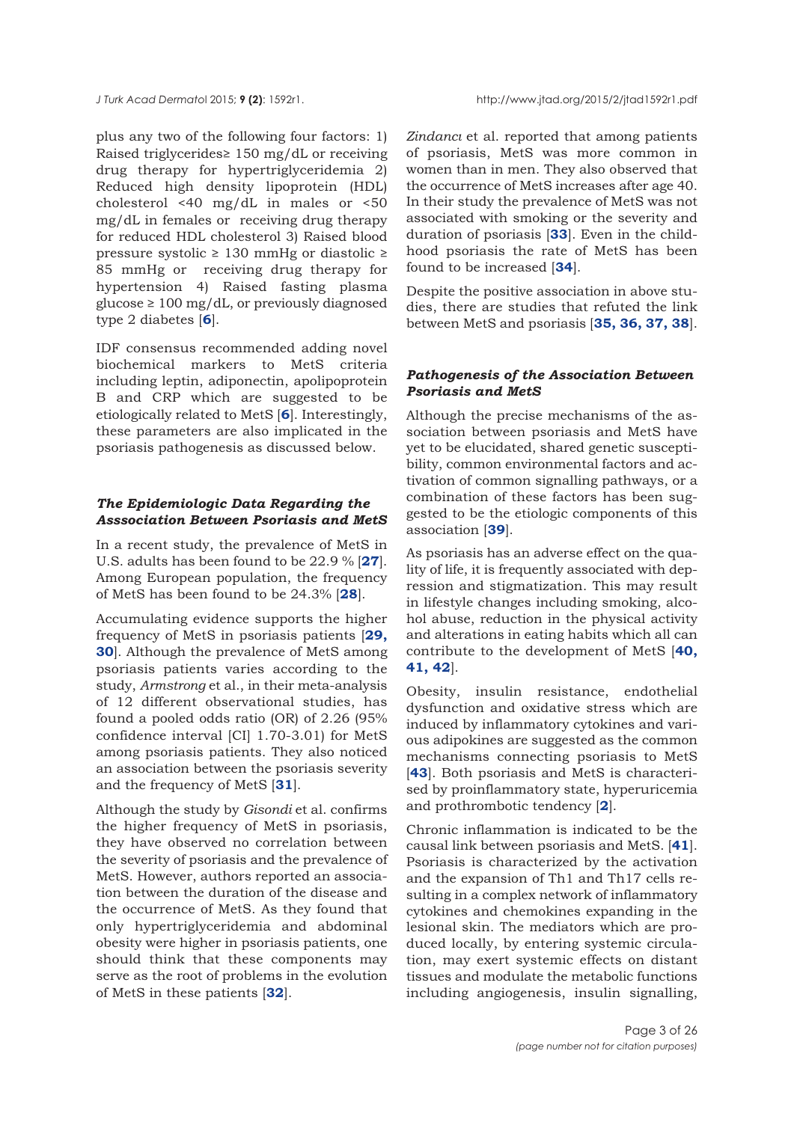plus any two of the following four factors: 1) Raised triglycerides≥ 150 mg/dL or receiving drug therapy for hypertriglyceridemia 2) Reduced high density lipoprotein (HDL) cholesterol <40 mg/dL in males or <50 mg/dL in females or receiving drug therapy for reduced HDL cholesterol 3) Raised blood pressure systolic ≥ 130 mmHg or diastolic ≥ 85 mmHg or receiving drug therapy for hypertension 4) Raised fasting plasma  $glucose \geq 100$  mg/dL, or previously diagnosed type 2 diabetes [**[6](#page-14-0)**].

IDF consensus recommended adding novel biochemical markers to MetS criteria including leptin, adiponectin, apolipoprotein B and CRP which are suggested to be etiologically related to MetS [**[6](#page-14-0)**]. Interestingly, these parameters are also implicated in the psoriasis pathogenesis as discussed below.

## *The Epidemiologic Data Regarding the Asssociation Between Psoriasis and MetS*

In a recent study, the prevalence of MetS in U.S. adults has been found to be 22.9 % [**[27](#page-15-0)**]. Among European population, the frequency of MetS has been found to be 24.3% [**[28](#page-15-0)**].

Accumulating evidence supports the higher frequency of MetS in psoriasis patients [**[29,](#page-15-0) [30](#page-15-0)**]. Although the prevalence of MetS among psoriasis patients varies according to the study, *Armstrong* et al., in their meta-analysis of 12 different observational studies, has found a pooled odds ratio (OR) of 2.26 (95% confidence interval [CI] 1.70-3.01) for MetS among psoriasis patients. They also noticed an association between the psoriasis severity and the frequency of MetS [**[31](#page-15-0)**].

Although the study by *Gisondi* et al. confirms the higher frequency of MetS in psoriasis, they have observed no correlation between the severity of psoriasis and the prevalence of MetS. However, authors reported an association between the duration of the disease and the occurrence of MetS. As they found that only hypertriglyceridemia and abdominal obesity were higher in psoriasis patients, one should think that these components may serve as the root of problems in the evolution of MetS in these patients [**[32](#page-15-0)**].

*Zindancı* et al. reported that among patients of psoriasis, MetS was more common in women than in men. They also observed that the occurrence of MetS increases after age 40. In their study the prevalence of MetS was not associated with smoking or the severity and duration of psoriasis [**[33](#page-15-0)**]. Even in the childhood psoriasis the rate of MetS has been found to be increased [**[34](#page-16-0)**].

Despite the positive association in above studies, there are studies that refuted the link between MetS and psoriasis [**[35, 36, 37, 38](#page-16-0)**].

# *Pathogenesis of the Association Between Psoriasis and MetS*

Although the precise mechanisms of the association between psoriasis and MetS have yet to be elucidated, shared genetic susceptibility, common environmental factors and activation of common signalling pathways, or a combination of these factors has been suggested to be the etiologic components of this association [**[39](#page-16-0)**].

As psoriasis has an adverse effect on the quality of life, it is frequently associated with depression and stigmatization. This may result in lifestyle changes including smoking, alcohol abuse, reduction in the physical activity and alterations in eating habits which all can contribute to the development of MetS [**[40,](#page-16-0) [41,](#page-16-0) [42](#page-16-0)**].

Obesity, insulin resistance, endothelial dysfunction and oxidative stress which are induced by inflammatory cytokines and various adipokines are suggested as the common mechanisms connecting psoriasis to MetS [**[43](#page-16-0)**]. Both psoriasis and MetS is characterised by proinflammatory state, hyperuricemia and prothrombotic tendency [**[2](#page-14-0)**].

Chronic inflammation is indicated to be the causal link between psoriasis and MetS. [**[41](#page-16-0)**]. Psoriasis is characterized by the activation and the expansion of Th1 and Th17 cells resulting in a complex network of inflammatory cytokines and chemokines expanding in the lesional skin. The mediators which are produced locally, by entering systemic circulation, may exert systemic effects on distant tissues and modulate the metabolic functions including angiogenesis, insulin signalling,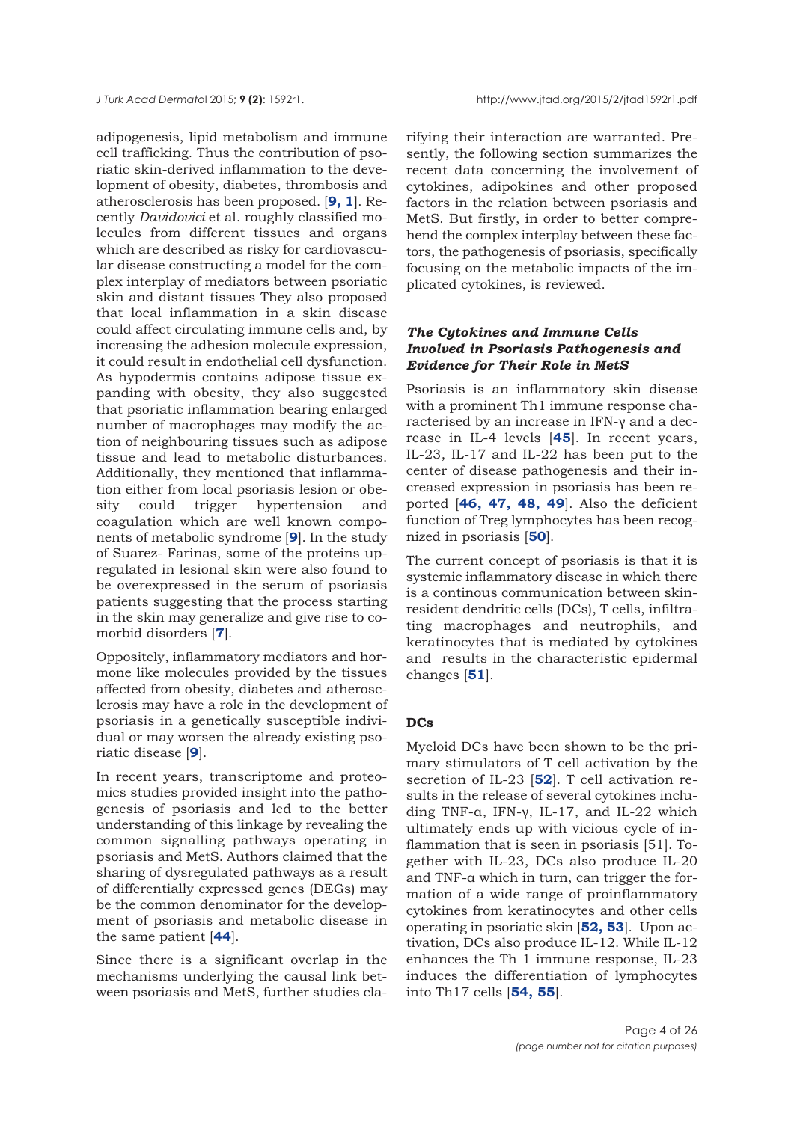adipogenesis, lipid metabolism and immune cell trafficking. Thus the contribution of psoriatic skin-derived inflammation to the development of obesity, diabetes, thrombosis and atherosclerosis has been proposed. [**[9,](#page-15-0) [1](#page-14-0)**]. Recently *Davidovici* et al. roughly classified molecules from different tissues and organs which are described as risky for cardiovascular disease constructing a model for the complex interplay of mediators between psoriatic skin and distant tissues They also proposed that local inflammation in a skin disease could affect circulating immune cells and, by increasing the adhesion molecule expression, it could result in endothelial cell dysfunction. As hypodermis contains adipose tissue expanding with obesity, they also suggested that psoriatic inflammation bearing enlarged number of macrophages may modify the action of neighbouring tissues such as adipose tissue and lead to metabolic disturbances. Additionally, they mentioned that inflammation either from local psoriasis lesion or obesity could trigger hypertension and coagulation which are well known components of metabolic syndrome [**[9](#page-15-0)**]. In the study of Suarez- Farinas, some of the proteins upregulated in lesional skin were also found to be overexpressed in the serum of psoriasis patients suggesting that the process starting in the skin may generalize and give rise to comorbid disorders [**[7](#page-14-0)**].

Oppositely, inflammatory mediators and hormone like molecules provided by the tissues affected from obesity, diabetes and atherosclerosis may have a role in the development of psoriasis in a genetically susceptible individual or may worsen the already existing psoriatic disease [**[9](#page-14-0)**].

In recent years, transcriptome and proteomics studies provided insight into the pathogenesis of psoriasis and led to the better understanding of this linkage by revealing the common signalling pathways operating in psoriasis and MetS. Authors claimed that the sharing of dysregulated pathways as a result of differentially expressed genes (DEGs) may be the common denominator for the development of psoriasis and metabolic disease in the same patient [**[44](#page-16-0)**].

Since there is a significant overlap in the mechanisms underlying the causal link between psoriasis and MetS, further studies cla-

rifying their interaction are warranted. Presently, the following section summarizes the recent data concerning the involvement of cytokines, adipokines and other proposed factors in the relation between psoriasis and MetS. But firstly, in order to better comprehend the complex interplay between these factors, the pathogenesis of psoriasis, specifically focusing on the metabolic impacts of the implicated cytokines, is reviewed.

# *The Cytokines and Immune Cells Involved in Psoriasis Pathogenesis and Evidence for Their Role in MetS*

Psoriasis is an inflammatory skin disease with a prominent Th1 immune response characterised by an increase in IFN-γ and a decrease in IL-4 levels [**[45](#page-16-0)**]. In recent years, IL-23, IL-17 and IL-22 has been put to the center of disease pathogenesis and their increased expression in psoriasis has been reported [**[46,](#page-16-0) [47,](#page-16-0) [48,](#page-16-0) [49](#page-16-0)**]. Also the deficient function of Treg lymphocytes has been recognized in psoriasis [**[50](#page-16-0)**].

The current concept of psoriasis is that it is systemic inflammatory disease in which there is a continous communication between skinresident dendritic cells (DCs), T cells, infiltrating macrophages and neutrophils, and keratinocytes that is mediated by cytokines and results in the characteristic epidermal changes [**[51](#page-16-0)**].

# **DCs**

Myeloid DCs have been shown to be the primary stimulators of T cell activation by the secretion of IL-23 [**[52](#page-16-0)**]. T cell activation results in the release of several cytokines including TNF-α, IFN-γ, IL-17, and IL-22 which ultimately ends up with vicious cycle of inflammation that is seen in psoriasis [51]. Together with IL-23, DCs also produce IL-20 and TNF-α which in turn, can trigger the formation of a wide range of proinflammatory cytokines from keratinocytes and other cells operating in psoriatic skin [**[52, 53](#page-16-0)**]. Upon activation, DCs also produce IL-12. While IL-12 enhances the Th 1 immune response, IL-23 induces the differentiation of lymphocytes into Th17 cells [**[54, 55](#page-16-0)**].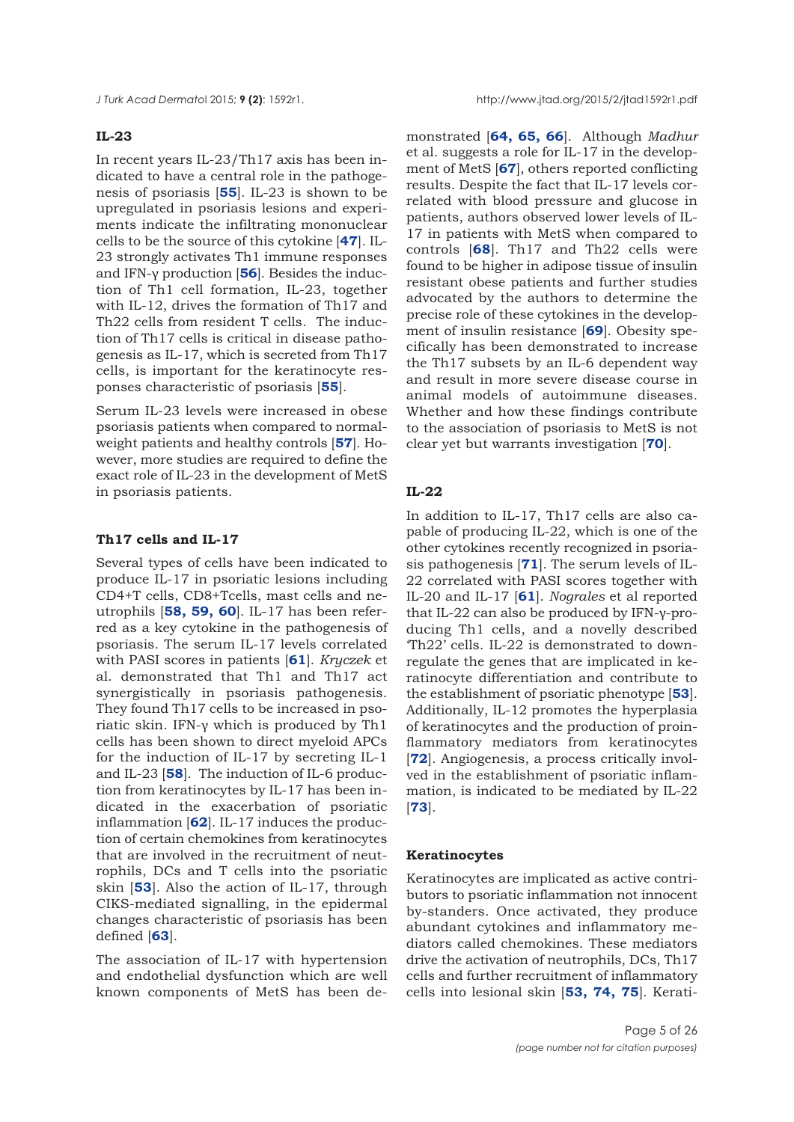## **IL-23**

In recent years IL-23/Th17 axis has been indicated to have a central role in the pathogenesis of psoriasis [**[55](#page-16-0)**]. IL-23 is shown to be upregulated in psoriasis lesions and experiments indicate the infiltrating mononuclear cells to be the source of this cytokine [**[47](#page-16-0)**]. IL-23 strongly activates Th1 immune responses and IFN-γ production [**[56](#page-16-0)**]. Besides the induction of Th1 cell formation, IL-23, together with IL-12, drives the formation of Th17 and Th22 cells from resident T cells. The induction of Th17 cells is critical in disease pathogenesis as IL-17, which is secreted from Th17 cells, is important for the keratinocyte responses characteristic of psoriasis [**[55](#page-16-0)**].

Serum IL-23 levels were increased in obese psoriasis patients when compared to normalweight patients and healthy controls [**[57](#page-16-0)**]. However, more studies are required to define the exact role of IL-23 in the development of MetS in psoriasis patients.

## **Th17 cells and IL-17**

Several types of cells have been indicated to produce IL-17 in psoriatic lesions including CD4+T cells, CD8+Tcells, mast cells and neutrophils [**[58, 59,](#page-16-0) [60](#page-16-0)**]. IL-17 has been referred as a key cytokine in the pathogenesis of psoriasis. The serum IL-17 levels correlated with PASI scores in patients [**[61](#page-16-0)**]. *Kryczek* et al. demonstrated that Th1 and Th17 act synergistically in psoriasis pathogenesis. They found Th17 cells to be increased in psoriatic skin. IFN-γ which is produced by Th1 cells has been shown to direct myeloid APCs for the induction of IL-17 by secreting IL-1 and IL-23 [**[58](#page-16-0)**]. The induction of IL-6 production from keratinocytes by IL-17 has been indicated in the exacerbation of psoriatic inflammation [**[62](#page-17-0)**]. IL-17 induces the production of certain chemokines from keratinocytes that are involved in the recruitment of neutrophils, DCs and T cells into the psoriatic skin [**[53](#page-16-0)**]. Also the action of IL-17, through CIKS-mediated signalling, in the epidermal changes characteristic of psoriasis has been defined [**[63](#page-17-0)**].

The association of IL-17 with hypertension and endothelial dysfunction which are well known components of MetS has been demonstrated [**[64,](#page-17-0) [65,](#page-17-0) [66](#page-17-0)**]. Although *Madhur* et al. suggests a role for IL-17 in the development of MetS [**[67](#page-17-0)**], others reported conflicting results. Despite the fact that IL-17 levels correlated with blood pressure and glucose in patients, authors observed lower levels of IL-17 in patients with MetS when compared to controls [**[68](#page-17-0)**]. Th17 and Th22 cells were found to be higher in adipose tissue of insulin resistant obese patients and further studies advocated by the authors to determine the precise role of these cytokines in the development of insulin resistance [**[69](#page-17-0)**]. Obesity specifically has been demonstrated to increase the Th17 subsets by an IL-6 dependent way and result in more severe disease course in animal models of autoimmune diseases. Whether and how these findings contribute to the association of psoriasis to MetS is not clear yet but warrants investigation [**[70](#page-17-0)**].

## **IL-22**

In addition to IL-17, Th17 cells are also capable of producing IL-22, which is one of the other cytokines recently recognized in psoriasis pathogenesis [**[71](#page-17-0)**]. The serum levels of IL-22 correlated with PASI scores together with IL-20 and IL-17 [**[61](#page-16-0)**]. *Nograles* et al reported that IL-22 can also be produced by IFN-γ-producing Th1 cells, and a novelly described 'Th22' cells. IL-22 is demonstrated to downregulate the genes that are implicated in keratinocyte differentiation and contribute to the establishment of psoriatic phenotype [**[53](#page-16-0)**]. Additionally, IL-12 promotes the hyperplasia of keratinocytes and the production of proinflammatory mediators from keratinocytes [**[72](#page-17-0)**]. Angiogenesis, a process critically involved in the establishment of psoriatic inflammation, is indicated to be mediated by IL-22 [**[73](#page-17-0)**].

#### **Keratinocytes**

Keratinocytes are implicated as active contributors to psoriatic inflammation not innocent by-standers. Once activated, they produce abundant cytokines and inflammatory mediators called chemokines. These mediators drive the activation of neutrophils, DCs, Th17 cells and further recruitment of inflammatory cells into lesional skin [**[53,](#page-16-0) [74, 75](#page-17-0)**]. Kerati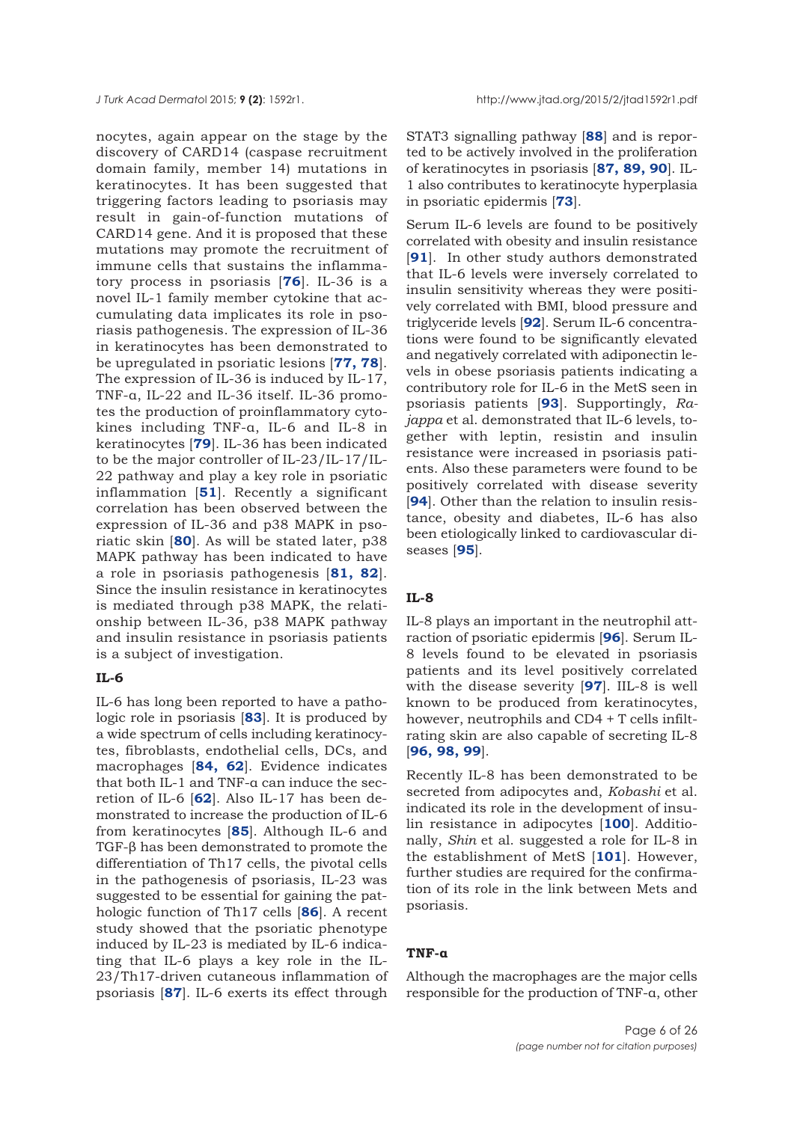nocytes, again appear on the stage by the discovery of CARD14 (caspase recruitment domain family, member 14) mutations in keratinocytes. It has been suggested that triggering factors leading to psoriasis may result in gain-of-function mutations of CARD14 gene. And it is proposed that these mutations may promote the recruitment of immune cells that sustains the inflammatory process in psoriasis [**[76](#page-17-0)**]. IL-36 is a novel IL-1 family member cytokine that accumulating data implicates its role in psoriasis pathogenesis. The expression of IL-36 in keratinocytes has been demonstrated to be upregulated in psoriatic lesions [**[77,](#page-17-0) [78](#page-17-0)**]. The expression of IL-36 is induced by IL-17, TNF-α, IL-22 and IL-36 itself. IL-36 promotes the production of proinflammatory cytokines including TNF-α, IL-6 and IL-8 in keratinocytes [**[79](#page-17-0)**]. IL-36 has been indicated to be the major controller of IL-23/IL-17/IL-22 pathway and play a key role in psoriatic inflammation [**[51](#page-16-0)**]. Recently a significant correlation has been observed between the expression of IL-36 and p38 MAPK in psoriatic skin [**[80](#page-17-0)**]. As will be stated later, p38 MAPK pathway has been indicated to have a role in psoriasis pathogenesis [**[81,](#page-17-0) [82](#page-17-0)**]. Since the insulin resistance in keratinocytes is mediated through p38 MAPK, the relationship between IL-36, p38 MAPK pathway and insulin resistance in psoriasis patients is a subject of investigation.

## **IL-6**

IL-6 has long been reported to have a pathologic role in psoriasis [**[83](#page-17-0)**]. It is produced by a wide spectrum of cells including keratinocytes, fibroblasts, endothelial cells, DCs, and macrophages [**[84, 62](#page-17-0)**]. Evidence indicates that both IL-1 and TNF-α can induce the secretion of IL-6 [**[62](#page-17-0)**]. Also IL-17 has been demonstrated to increase the production of IL-6 from keratinocytes [**[85](#page-17-0)**]. Although IL-6 and TGF-β has been demonstrated to promote the differentiation of Th17 cells, the pivotal cells in the pathogenesis of psoriasis, IL-23 was suggested to be essential for gaining the pathologic function of Th17 cells [**[86](#page-18-0)**]. A recent study showed that the psoriatic phenotype induced by IL-23 is mediated by IL-6 indicating that IL-6 plays a key role in the IL-23/Th17-driven cutaneous inflammation of psoriasis [**[87](#page-18-0)**]. IL-6 exerts its effect through

STAT3 signalling pathway [**[88](#page-18-0)**] and is reported to be actively involved in the proliferation of keratinocytes in psoriasis [**[87, 89, 90](#page-18-0)**]. IL-1 also contributes to keratinocyte hyperplasia in psoriatic epidermis [**[73](#page-17-0)**].

Serum IL-6 levels are found to be positively correlated with obesity and insulin resistance [**[91](#page-18-0)**]. In other study authors demonstrated that IL-6 levels were inversely correlated to insulin sensitivity whereas they were positively correlated with BMI, blood pressure and triglyceride levels [**[92](#page-18-0)**]. Serum IL-6 concentrations were found to be significantly elevated and negatively correlated with adiponectin levels in obese psoriasis patients indicating a contributory role for IL-6 in the MetS seen in psoriasis patients [**[93](#page-18-0)**]. Supportingly, *Rajappa* et al. demonstrated that IL-6 levels, together with leptin, resistin and insulin resistance were increased in psoriasis patients. Also these parameters were found to be positively correlated with disease severity [**[94](#page-18-0)**]. Other than the relation to insulin resistance, obesity and diabetes, IL-6 has also been etiologically linked to cardiovascular diseases [**[95](#page-18-0)**].

# **IL-8**

IL-8 plays an important in the neutrophil attraction of psoriatic epidermis [**[96](#page-18-0)**]. Serum IL-8 levels found to be elevated in psoriasis patients and its level positively correlated with the disease severity [**[97](#page-18-0)**]. IIL-8 is well known to be produced from keratinocytes, however, neutrophils and CD4 + T cells infiltrating skin are also capable of secreting IL-8 [**[96,](#page-18-0) [98,](#page-18-0) [99](#page-18-0)**].

Recently IL-8 has been demonstrated to be secreted from adipocytes and, *Kobashi* et al. indicated its role in the development of insulin resistance in adipocytes [**[100](#page-18-0)**]. Additionally, *Shin* et al. suggested a role for IL-8 in the establishment of MetS [**[101](#page-18-0)**]. However, further studies are required for the confirmation of its role in the link between Mets and psoriasis.

#### **TNF-α**

Although the macrophages are the major cells responsible for the production of TNF-α, other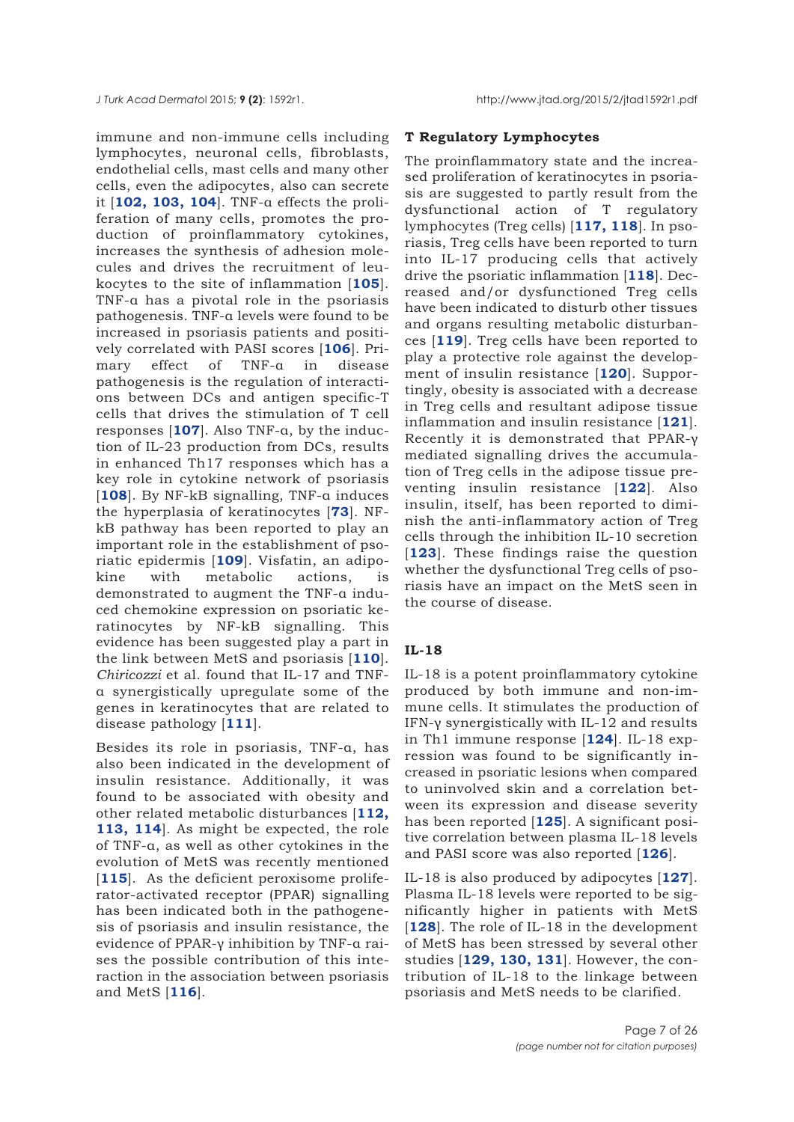immune and non-immune cells including lymphocytes, neuronal cells, fibroblasts, endothelial cells, mast cells and many other cells, even the adipocytes, also can secrete it [**[102,](#page-18-0) [103,](#page-18-0) [104](#page-18-0)**]. TNF-α effects the proliferation of many cells, promotes the production of proinflammatory cytokines, increases the synthesis of adhesion molecules and drives the recruitment of leukocytes to the site of inflammation [**[105](#page-18-0)**]. TNF-α has a pivotal role in the psoriasis pathogenesis. TNF-α levels were found to be increased in psoriasis patients and positively correlated with PASI scores [**[106](#page-18-0)**]. Primary effect of TNF-α in disease pathogenesis is the regulation of interactions between DCs and antigen specific-T cells that drives the stimulation of T cell responses [**[107](#page-18-0)**]. Also TNF-α, by the induction of IL-23 production from DCs, results in enhanced Th17 responses which has a key role in cytokine network of psoriasis [**[108](#page-18-0)**]. By NF-kB signalling, TNF-α induces the hyperplasia of keratinocytes [**[73](#page-17-0)**]. NFkB pathway has been reported to play an important role in the establishment of psoriatic epidermis [**[109](#page-18-0)**]. Visfatin, an adipokine with metabolic actions, is demonstrated to augment the TNF-α induced chemokine expression on psoriatic keratinocytes by NF-kB signalling. This evidence has been suggested play a part in the link between MetS and psoriasis [**[110](#page-19-0)**]. *Chiricozzi* et al. found that IL-17 and TNFα synergistically upregulate some of the genes in keratinocytes that are related to disease pathology [**[111](#page-18-0)**].

Besides its role in psoriasis, TNF-α, has also been indicated in the development of insulin resistance. Additionally, it was found to be associated with obesity and other related metabolic disturbances [**[112,](#page-19-0) [113,](#page-19-0) [114](#page-19-0)**]. As might be expected, the role of TNF-α, as well as other cytokines in the evolution of MetS was recently mentioned [[115](#page-19-0)]. As the deficient peroxisome proliferator-activated receptor (PPAR) signalling has been indicated both in the pathogenesis of psoriasis and insulin resistance, the evidence of PPAR-γ inhibition by TNF-α raises the possible contribution of this interaction in the association between psoriasis and MetS [**[116](#page-19-0)**].

## **T Regulatory Lymphocytes**

The proinflammatory state and the increased proliferation of keratinocytes in psoriasis are suggested to partly result from the dysfunctional action of T regulatory lymphocytes (Treg cells) [**[117, 118](#page-19-0)**]. In psoriasis, Treg cells have been reported to turn into IL-17 producing cells that actively drive the psoriatic inflammation [**[118](#page-19-0)**]. Decreased and/or dysfunctioned Treg cells have been indicated to disturb other tissues and organs resulting metabolic disturbances [**[119](#page-19-0)**]. Treg cells have been reported to play a protective role against the development of insulin resistance [**[120](#page-19-0)**]. Supportingly, obesity is associated with a decrease in Treg cells and resultant adipose tissue inflammation and insulin resistance [**[121](#page-19-0)**]. Recently it is demonstrated that PPAR-γ mediated signalling drives the accumulation of Treg cells in the adipose tissue preventing insulin resistance [**[122](#page-20-0)**]. Also insulin, itself, has been reported to diminish the anti-inflammatory action of Treg cells through the inhibition IL-10 secretion [[123](#page-19-0)]. These findings raise the question whether the dysfunctional Treg cells of psoriasis have an impact on the MetS seen in the course of disease.

#### **IL-18**

IL-18 is a potent proinflammatory cytokine produced by both immune and non-immune cells. It stimulates the production of IFN-γ synergistically with IL-12 and results in Th1 immune response [**[124](#page-19-0)**]. IL-18 expression was found to be significantly increased in psoriatic lesions when compared to uninvolved skin and a correlation between its expression and disease severity has been reported [**[125](#page-19-0)**]. A significant positive correlation between plasma IL-18 levels and PASI score was also reported [**[126](#page-19-0)**].

IL-18 is also produced by adipocytes [**[127](#page-19-0)**]. Plasma IL-18 levels were reported to be significantly higher in patients with MetS [[128](#page-19-0)]. The role of IL-18 in the development of MetS has been stressed by several other studies [**[129,](#page-19-0) [130, 131](#page-19-0)**]. However, the contribution of IL-18 to the linkage between psoriasis and MetS needs to be clarified.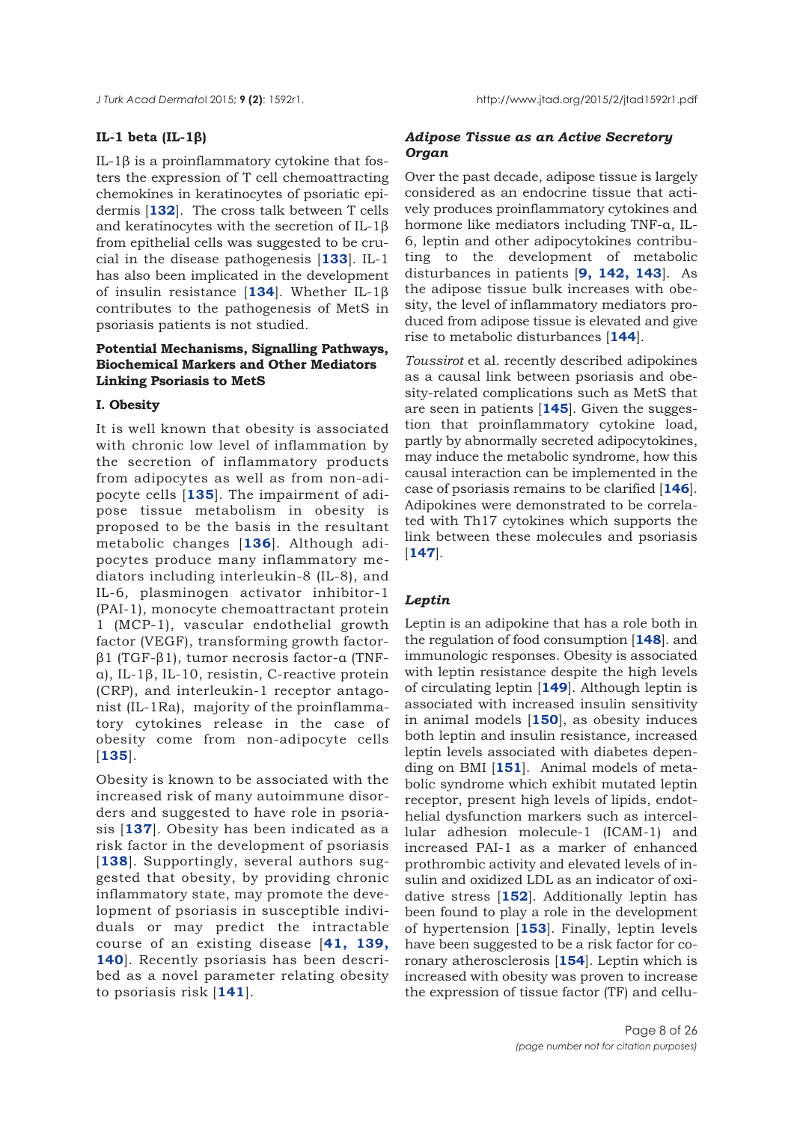# **IL-1 beta (IL-1β)**

IL-1β is a proinflammatory cytokine that fosters the expression of T cell chemoattracting chemokines in keratinocytes of psoriatic epidermis [**[132](#page-19-0)**]. The cross talk between T cells and keratinocytes with the secretion of IL-1β from epithelial cells was suggested to be crucial in the disease pathogenesis [**[133](#page-19-0)**]. IL-1 has also been implicated in the development of insulin resistance [**[134](#page-19-0)**]. Whether IL-1β contributes to the pathogenesis of MetS in psoriasis patients is not studied.

# **Potential Mechanisms, Signalling Pathways, Biochemical Markers and Other Mediators Linking Psoriasis to MetS**

# **I. Obesity**

It is well known that obesity is associated with chronic low level of inflammation by the secretion of inflammatory products from adipocytes as well as from non-adipocyte cells [**[135](#page-19-0)**]. The impairment of adipose tissue metabolism in obesity is proposed to be the basis in the resultant metabolic changes [**[136](#page-19-0)**]. Although adipocytes produce many inflammatory mediators including interleukin-8 (IL-8), and IL-6, plasminogen activator inhibitor-1 (PAI-1), monocyte chemoattractant protein 1 (MCP-1), vascular endothelial growth factor (VEGF), transforming growth factorβ1 (TGF-β1), tumor necrosis factor-α (TNFα), IL-1β, IL-10, resistin, C-reactive protein (CRP), and interleukin-1 receptor antagonist (IL-1Ra), majority of the proinflammatory cytokines release in the case of obesity come from non-adipocyte cells [**[135](#page-19-0)**].

Obesity is known to be associated with the increased risk of many autoimmune disorders and suggested to have role in psoriasis [**[137](#page-19-0)**]. Obesity has been indicated as a risk factor in the development of psoriasis [[138](#page-19-0)]. Supportingly, several authors suggested that obesity, by providing chronic inflammatory state, may promote the development of psoriasis in susceptible individuals or may predict the intractable course of an existing disease [**[41,](#page-16-0) [139,](#page-19-0) [140](#page-20-0)**]. Recently psoriasis has been described as a novel parameter relating obesity to psoriasis risk [**[141](#page-20-0)**].

# *Adipose Tissue as an Active Secretory Organ*

Over the past decade, adipose tissue is largely considered as an endocrine tissue that actively produces proinflammatory cytokines and hormone like mediators including TNF-α, IL-6, leptin and other adipocytokines contributing to the development of metabolic disturbances in patients [**[9,](#page-15-0) [142,](#page-20-0) [143](#page-20-0)**]. As the adipose tissue bulk increases with obesity, the level of inflammatory mediators produced from adipose tissue is elevated and give rise to metabolic disturbances [**[144](#page-20-0)**].

*Toussirot* et al. recently described adipokines as a causal link between psoriasis and obesity-related complications such as MetS that are seen in patients [**[145](#page-20-0)**]. Given the suggestion that proinflammatory cytokine load, partly by abnormally secreted adipocytokines, may induce the metabolic syndrome, how this causal interaction can be implemented in the case of psoriasis remains to be clarified [**[146](#page-20-0)**]. Adipokines were demonstrated to be correlated with Th17 cytokines which supports the link between these molecules and psoriasis [**[147](#page-20-0)**].

## *Leptin*

Leptin is an adipokine that has a role both in the regulation of food consumption [**[148](#page-20-0)**]. and immunologic responses. Obesity is associated with leptin resistance despite the high levels of circulating leptin [**[149](#page-20-0)**]. Although leptin is associated with increased insulin sensitivity in animal models [**[150](#page-20-0)**], as obesity induces both leptin and insulin resistance, increased leptin levels associated with diabetes depending on BMI [**[151](#page-20-0)**]. Animal models of metabolic syndrome which exhibit mutated leptin receptor, present high levels of lipids, endothelial dysfunction markers such as intercellular adhesion molecule-1 (ICAM-1) and increased PAI-1 as a marker of enhanced prothrombic activity and elevated levels of insulin and oxidized LDL as an indicator of oxidative stress [**[152](#page-20-0)**]. Additionally leptin has been found to play a role in the development of hypertension [**[153](#page-20-0)**]. Finally, leptin levels have been suggested to be a risk factor for coronary atherosclerosis [**[154](#page-20-0)**]. Leptin which is increased with obesity was proven to increase the expression of tissue factor (TF) and cellu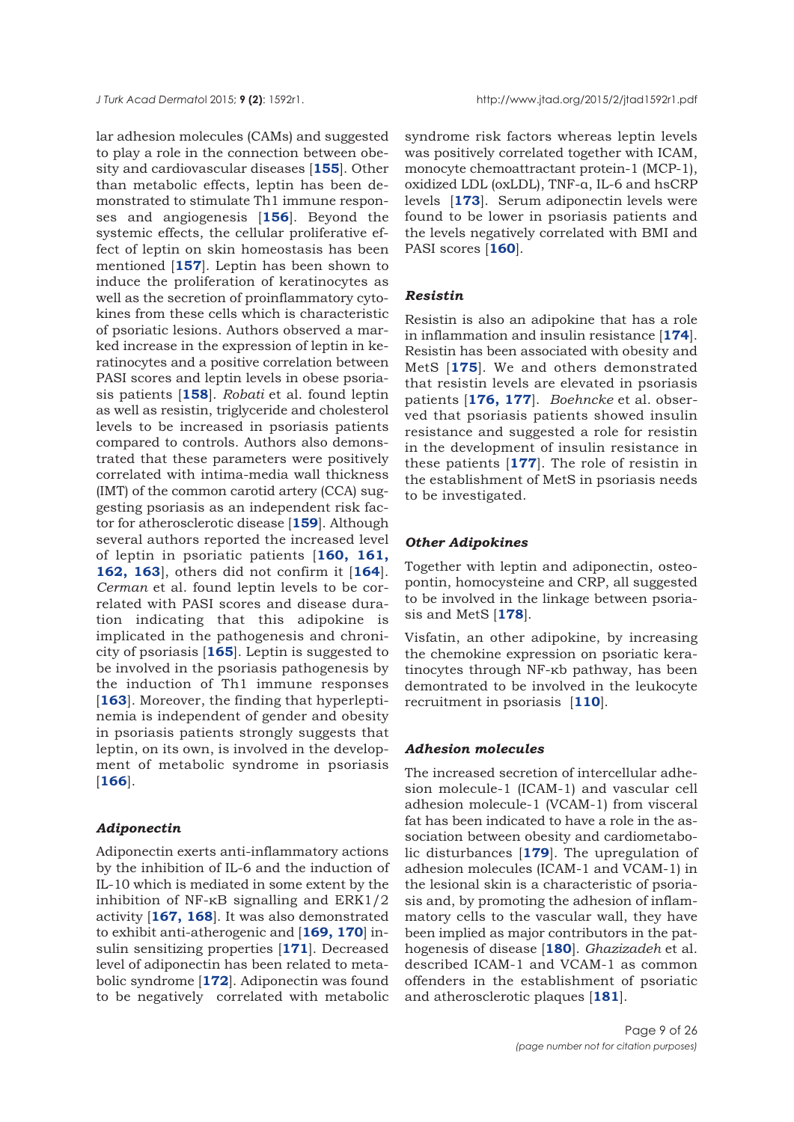lar adhesion molecules (CAMs) and suggested to play a role in the connection between obesity and cardiovascular diseases [**[155](#page-20-0)**]. Other than metabolic effects, leptin has been demonstrated to stimulate Th1 immune responses and angiogenesis [**[156](#page-20-0)**]. Beyond the systemic effects, the cellular proliferative effect of leptin on skin homeostasis has been mentioned [**[157](#page-20-0)**]. Leptin has been shown to induce the proliferation of keratinocytes as well as the secretion of proinflammatory cytokines from these cells which is characteristic of psoriatic lesions. Authors observed a marked increase in the expression of leptin in keratinocytes and a positive correlation between PASI scores and leptin levels in obese psoriasis patients [**[158](#page-20-0)**]. *Robati* et al. found leptin as well as resistin, triglyceride and cholesterol levels to be increased in psoriasis patients compared to controls. Authors also demonstrated that these parameters were positively correlated with intima-media wall thickness (IMT) of the common carotid artery (CCA) suggesting psoriasis as an independent risk factor for atherosclerotic disease [**[159](#page-20-0)**]. Although several authors reported the increased level of leptin in psoriatic patients [**[160, 161,](#page-20-0) [162, 163](#page-20-0)**], others did not confirm it [**[164](#page-21-0)**]. *Cerman* et al. found leptin levels to be correlated with PASI scores and disease duration indicating that this adipokine is implicated in the pathogenesis and chronicity of psoriasis [**[165](#page-21-0)**]. Leptin is suggested to be involved in the psoriasis pathogenesis by the induction of Th1 immune responses [[163](#page-20-0)]. Moreover, the finding that hyperleptinemia is independent of gender and obesity in psoriasis patients strongly suggests that leptin, on its own, is involved in the development of metabolic syndrome in psoriasis [**[166](#page-21-0)**].

#### *Adiponectin*

Adiponectin exerts anti-inflammatory actions by the inhibition of IL-6 and the induction of IL-10 which is mediated in some extent by the inhibition of NF-κB signalling and ERK1/2 activity [**[167, 168](#page-21-0)**]. It was also demonstrated to exhibit anti-atherogenic and [**[169, 170](#page-21-0)**] insulin sensitizing properties [**[171](#page-21-0)**]. Decreased level of adiponectin has been related to metabolic syndrome [**[172](#page-21-0)**]. Adiponectin was found to be negatively correlated with metabolic syndrome risk factors whereas leptin levels was positively correlated together with ICAM, monocyte chemoattractant protein-1 (MCP-1), oxidized LDL (oxLDL), TNF-α, IL-6 and hsCRP levels [**[173](#page-21-0)**]. Serum adiponectin levels were found to be lower in psoriasis patients and the levels negatively correlated with BMI and PASI scores [**[160](#page-20-0)**].

#### *Resistin*

Resistin is also an adipokine that has a role in inflammation and insulin resistance [**[174](#page-21-0)**]. Resistin has been associated with obesity and MetS [**[175](#page-21-0)**]. We and others demonstrated that resistin levels are elevated in psoriasis patients [**[176, 177](#page-21-0)**]. *Boehncke* et al. observed that psoriasis patients showed insulin resistance and suggested a role for resistin in the development of insulin resistance in these patients [**[177](#page-21-0)**]. The role of resistin in the establishment of MetS in psoriasis needs to be investigated.

#### *Other Adipokines*

Together with leptin and adiponectin, osteopontin, homocysteine and CRP, all suggested to be involved in the linkage between psoriasis and MetS [**[178](#page-21-0)**].

Visfatin, an other adipokine, by increasing the chemokine expression on psoriatic keratinocytes through NF-κb pathway, has been demontrated to be involved in the leukocyte recruitment in psoriasis [**[110](#page-18-0)**].

## *Adhesion molecules*

The increased secretion of intercellular adhesion molecule-1 (ICAM-1) and vascular cell adhesion molecule-1 (VCAM-1) from visceral fat has been indicated to have a role in the association between obesity and cardiometabolic disturbances [**[179](#page-21-0)**]. The upregulation of adhesion molecules (ICAM-1 and VCAM-1) in the lesional skin is a characteristic of psoriasis and, by promoting the adhesion of inflammatory cells to the vascular wall, they have been implied as major contributors in the pathogenesis of disease [**[180](#page-21-0)**]. *Ghazizadeh* et al. described ICAM-1 and VCAM-1 as common offenders in the establishment of psoriatic and atherosclerotic plaques [**[181](#page-21-0)**].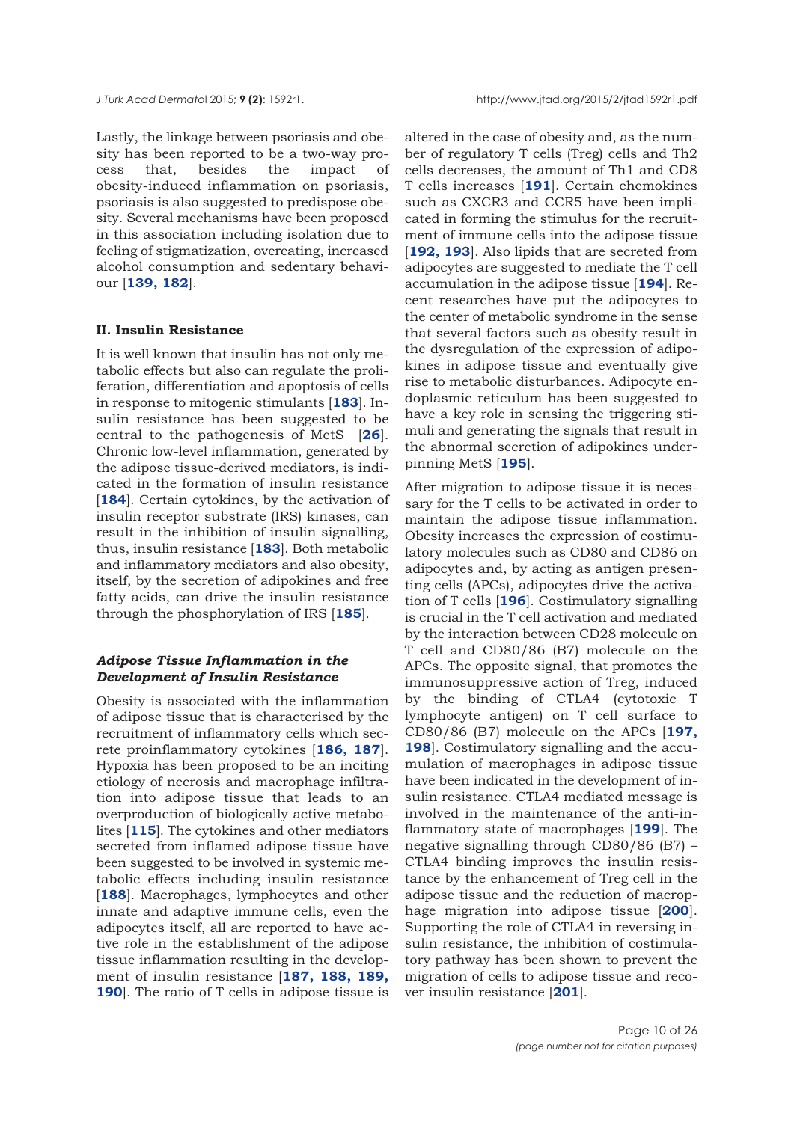Lastly, the linkage between psoriasis and obesity has been reported to be a two-way process that, besides the impact of obesity-induced inflammation on psoriasis, psoriasis is also suggested to predispose obesity. Several mechanisms have been proposed in this association including isolation due to feeling of stigmatization, overeating, increased alcohol consumption and sedentary behaviour [**[139,](#page-20-0) [182](#page-21-0)**].

## **II. Insulin Resistance**

It is well known that insulin has not only metabolic effects but also can regulate the proliferation, differentiation and apoptosis of cells in response to mitogenic stimulants [**[183](#page-21-0)**]. Insulin resistance has been suggested to be central to the pathogenesis of MetS [**[26](#page-15-0)**]. Chronic low-level inflammation, generated by the adipose tissue-derived mediators, is indicated in the formation of insulin resistance [[184](#page-21-0)]. Certain cytokines, by the activation of insulin receptor substrate (IRS) kinases, can result in the inhibition of insulin signalling, thus, insulin resistance [**[183](#page-21-0)**]. Both metabolic and inflammatory mediators and also obesity, itself, by the secretion of adipokines and free fatty acids, can drive the insulin resistance through the phosphorylation of IRS [**[185](#page-21-0)**].

## *Adipose Tissue Inflammation in the Development of Insulin Resistance*

Obesity is associated with the inflammation of adipose tissue that is characterised by the recruitment of inflammatory cells which secrete proinflammatory cytokines [**[186, 187](#page-21-0)**]. Hypoxia has been proposed to be an inciting etiology of necrosis and macrophage infiltration into adipose tissue that leads to an overproduction of biologically active metabolites [**[115](#page-19-0)**]. The cytokines and other mediators secreted from inflamed adipose tissue have been suggested to be involved in systemic metabolic effects including insulin resistance [[188](#page-21-0)]. Macrophages, lymphocytes and other innate and adaptive immune cells, even the adipocytes itself, all are reported to have active role in the establishment of the adipose tissue inflammation resulting in the development of insulin resistance [**[187,](#page-21-0) [188, 189,](#page-21-0) [190](#page-21-0)**]. The ratio of T cells in adipose tissue is

altered in the case of obesity and, as the number of regulatory T cells (Treg) cells and Th2 cells decreases, the amount of Th1 and CD8 T cells increases [**[191](#page-22-0)**]. Certain chemokines such as CXCR3 and CCR5 have been implicated in forming the stimulus for the recruitment of immune cells into the adipose tissue [**[192, 193](#page-22-0)**]. Also lipids that are secreted from adipocytes are suggested to mediate the T cell accumulation in the adipose tissue [**[194](#page-22-0)**]. Recent researches have put the adipocytes to the center of metabolic syndrome in the sense that several factors such as obesity result in the dysregulation of the expression of adipokines in adipose tissue and eventually give rise to metabolic disturbances. Adipocyte endoplasmic reticulum has been suggested to have a key role in sensing the triggering stimuli and generating the signals that result in the abnormal secretion of adipokines underpinning MetS [**[195](#page-22-0)**].

After migration to adipose tissue it is necessary for the T cells to be activated in order to maintain the adipose tissue inflammation. Obesity increases the expression of costimulatory molecules such as CD80 and CD86 on adipocytes and, by acting as antigen presenting cells (APCs), adipocytes drive the activation of T cells [**[196](#page-22-0)**]. Costimulatory signalling is crucial in the T cell activation and mediated by the interaction between CD28 molecule on T cell and CD80/86 (B7) molecule on the APCs. The opposite signal, that promotes the immunosuppressive action of Treg, induced by the binding of CTLA4 (cytotoxic T lymphocyte antigen) on T cell surface to CD80/86 (B7) molecule on the APCs [**[197,](#page-22-0) [198](#page-22-0)**]. Costimulatory signalling and the accumulation of macrophages in adipose tissue have been indicated in the development of insulin resistance. CTLA4 mediated message is involved in the maintenance of the anti-inflammatory state of macrophages [**[199](#page-22-0)**]. The negative signalling through CD80/86 (B7) – CTLA4 binding improves the insulin resistance by the enhancement of Treg cell in the adipose tissue and the reduction of macrophage migration into adipose tissue [**[200](#page-22-0)**]. Supporting the role of CTLA4 in reversing insulin resistance, the inhibition of costimulatory pathway has been shown to prevent the migration of cells to adipose tissue and recover insulin resistance [**[201](#page-22-0)**].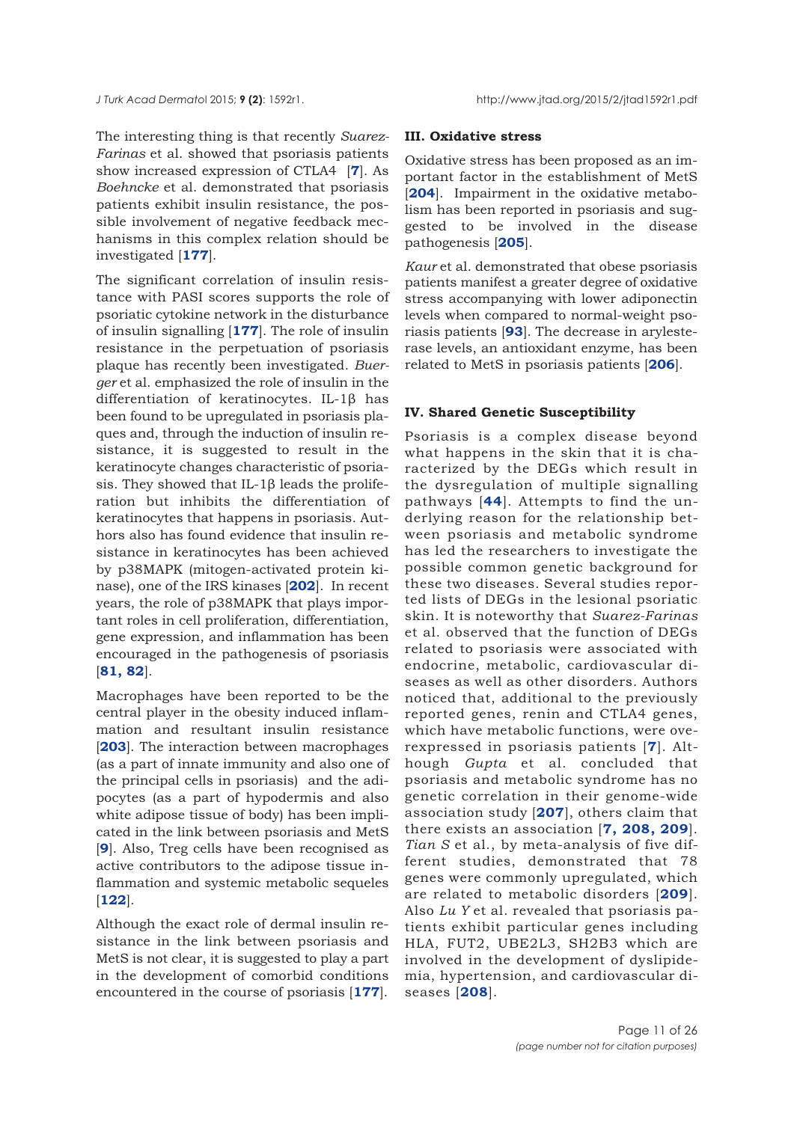The interesting thing is that recently *Suarez-Farinas* et al. showed that psoriasis patients show increased expression of CTLA4 [**[7](#page-15-0)**]. As *Boehncke* et al. demonstrated that psoriasis patients exhibit insulin resistance, the possible involvement of negative feedback mechanisms in this complex relation should be investigated [**[177](#page-21-0)**].

The significant correlation of insulin resistance with PASI scores supports the role of psoriatic cytokine network in the disturbance of insulin signalling [**[177](#page-21-0)**]. The role of insulin resistance in the perpetuation of psoriasis plaque has recently been investigated. *Buerger* et al. emphasized the role of insulin in the differentiation of keratinocytes. IL-1β has been found to be upregulated in psoriasis plaques and, through the induction of insulin resistance, it is suggested to result in the keratinocyte changes characteristic of psoriasis. They showed that IL-1 $\beta$  leads the proliferation but inhibits the differentiation of keratinocytes that happens in psoriasis. Authors also has found evidence that insulin resistance in keratinocytes has been achieved by p38MAPK (mitogen-activated protein kinase), one of the IRS kinases [**[202](#page-23-0)**]. In recent years, the role of p38MAPK that plays important roles in cell proliferation, differentiation, gene expression, and inflammation has been encouraged in the pathogenesis of psoriasis [**[81, 82](#page-17-0)**].

Macrophages have been reported to be the central player in the obesity induced inflammation and resultant insulin resistance [**[203](#page-22-0)**]. The interaction between macrophages (as a part of innate immunity and also one of the principal cells in psoriasis) and the adipocytes (as a part of hypodermis and also white adipose tissue of body) has been implicated in the link between psoriasis and MetS [**[9](#page-15-0)**]. Also, Treg cells have been recognised as active contributors to the adipose tissue inflammation and systemic metabolic sequeles [**[122](#page-19-0)**].

Although the exact role of dermal insulin resistance in the link between psoriasis and MetS is not clear, it is suggested to play a part in the development of comorbid conditions encountered in the course of psoriasis [**[177](#page-21-0)**].

#### **III. Oxidative stress**

Oxidative stress has been proposed as an important factor in the establishment of MetS [**[204](#page-22-0)**]. Impairment in the oxidative metabolism has been reported in psoriasis and suggested to be involved in the disease pathogenesis [**[205](#page-22-0)**].

*Kaur* et al. demonstrated that obese psoriasis patients manifest a greater degree of oxidative stress accompanying with lower adiponectin levels when compared to normal-weight psoriasis patients [**[93](#page-18-0)**]. The decrease in arylesterase levels, an antioxidant enzyme, has been related to MetS in psoriasis patients [**[206](#page-22-0)**].

#### **IV. Shared Genetic Susceptibility**

Psoriasis is a complex disease beyond what happens in the skin that it is characterized by the DEGs which result in the dysregulation of multiple signalling pathways [**[44](#page-16-0)**]. Attempts to find the underlying reason for the relationship between psoriasis and metabolic syndrome has led the researchers to investigate the possible common genetic background for these two diseases. Several studies reported lists of DEGs in the lesional psoriatic skin. It is noteworthy that *Suarez-Farinas* et al. observed that the function of DEGs related to psoriasis were associated with endocrine, metabolic, cardiovascular diseases as well as other disorders. Authors noticed that, additional to the previously reported genes, renin and CTLA4 genes, which have metabolic functions, were overexpressed in psoriasis patients [**[7](#page-14-0)**]. Although *Gupta* et al. concluded that psoriasis and metabolic syndrome has no genetic correlation in their genome-wide association study [**[207](#page-22-0)**], others claim that there exists an association [**[7,](#page-15-0) [208, 209](#page-22-0)**]. *Tian S* et al., by meta-analysis of five different studies, demonstrated that 78 genes were commonly upregulated, which are related to metabolic disorders [**[209](#page-22-0)**]. Also *Lu Y* et al. revealed that psoriasis patients exhibit particular genes including HLA, FUT2, UBE2L3, SH2B3 which are involved in the development of dyslipidemia, hypertension, and cardiovascular diseases [**[208](#page-22-0)**].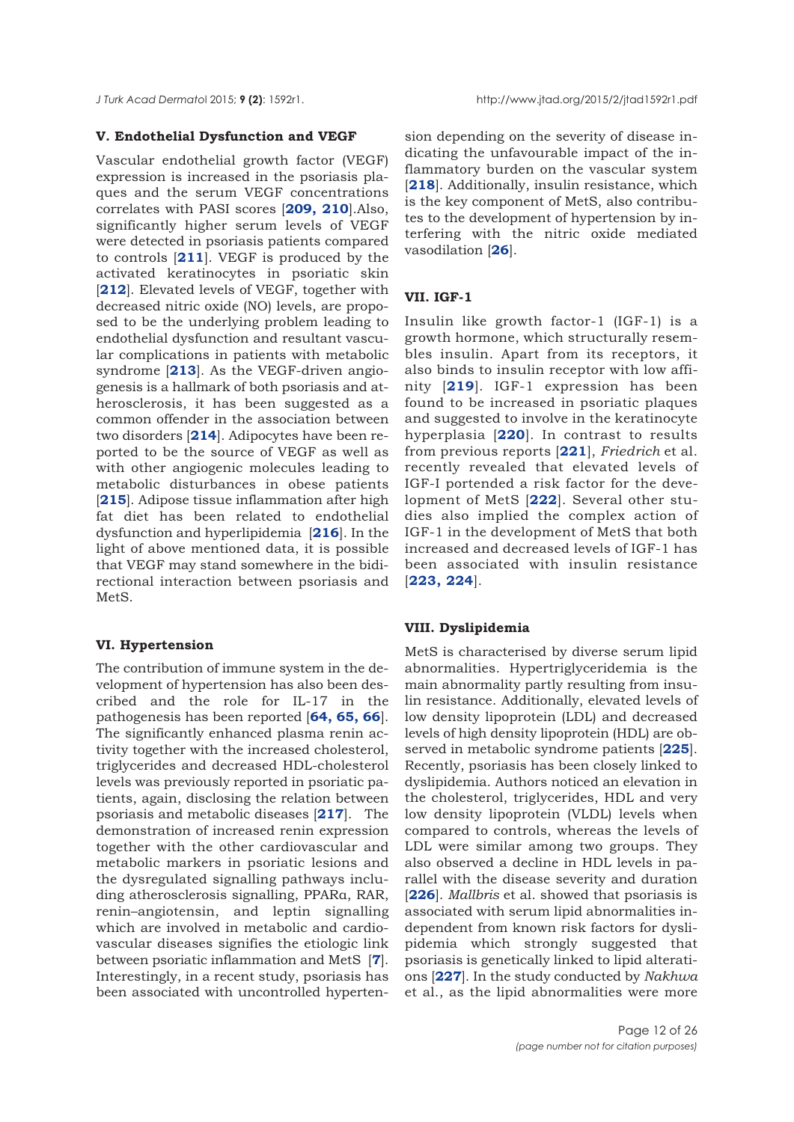#### **V. Endothelial Dysfunction and VEGF**

Vascular endothelial growth factor (VEGF) expression is increased in the psoriasis plaques and the serum VEGF concentrations correlates with PASI scores [**[209,](#page-22-0) [210](#page-22-0)**].Also, significantly higher serum levels of VEGF were detected in psoriasis patients compared to controls [**[211](#page-22-0)**]. VEGF is produced by the activated keratinocytes in psoriatic skin [[212](#page-22-0)]. Elevated levels of VEGF, together with decreased nitric oxide (NO) levels, are proposed to be the underlying problem leading to endothelial dysfunction and resultant vascular complications in patients with metabolic syndrome [**[213](#page-22-0)**]. As the VEGF-driven angiogenesis is a hallmark of both psoriasis and atherosclerosis, it has been suggested as a common offender in the association between two disorders [**[214](#page-22-0)**]. Adipocytes have been reported to be the source of VEGF as well as with other angiogenic molecules leading to metabolic disturbances in obese patients [[215](#page-23-0)]. Adipose tissue inflammation after high fat diet has been related to endothelial dysfunction and hyperlipidemia [**[216](#page-23-0)**]. In the light of above mentioned data, it is possible that VEGF may stand somewhere in the bidirectional interaction between psoriasis and MetS.

#### **VI. Hypertension**

The contribution of immune system in the development of hypertension has also been described and the role for IL-17 in the pathogenesis has been reported [**[64, 65, 66](#page-17-0)**]. The significantly enhanced plasma renin activity together with the increased cholesterol, triglycerides and decreased HDL-cholesterol levels was previously reported in psoriatic patients, again, disclosing the relation between psoriasis and metabolic diseases [**[217](#page-23-0)**]. The demonstration of increased renin expression together with the other cardiovascular and metabolic markers in psoriatic lesions and the dysregulated signalling pathways including atherosclerosis signalling, PPARα, RAR, renin–angiotensin, and leptin signalling which are involved in metabolic and cardiovascular diseases signifies the etiologic link between psoriatic inflammation and MetS [**[7](#page-15-0)**]. Interestingly, in a recent study, psoriasis has been associated with uncontrolled hypertension depending on the severity of disease indicating the unfavourable impact of the inflammatory burden on the vascular system [[218](#page-23-0)]. Additionally, insulin resistance, which is the key component of MetS, also contributes to the development of hypertension by interfering with the nitric oxide mediated vasodilation [**[26](#page-15-0)**].

#### **VII. IGF-1**

Insulin like growth factor-1 (IGF-1) is a growth hormone, which structurally resembles insulin. Apart from its receptors, it also binds to insulin receptor with low affinity [**[219](#page-23-0)**]. IGF-1 expression has been found to be increased in psoriatic plaques and suggested to involve in the keratinocyte hyperplasia [**[220](#page-23-0)**]. In contrast to results from previous reports [**[221](#page-23-0)**], *Friedrich* et al. recently revealed that elevated levels of IGF-I portended a risk factor for the development of MetS [**[222](#page-23-0)**]. Several other studies also implied the complex action of IGF-1 in the development of MetS that both increased and decreased levels of IGF-1 has been associated with insulin resistance [**[223,](#page-23-0) [224](#page-23-0)**].

#### **VIII. Dyslipidemia**

MetS is characterised by diverse serum lipid abnormalities. Hypertriglyceridemia is the main abnormality partly resulting from insulin resistance. Additionally, elevated levels of low density lipoprotein (LDL) and decreased levels of high density lipoprotein (HDL) are observed in metabolic syndrome patients [**[225](#page-23-0)**]. Recently, psoriasis has been closely linked to dyslipidemia. Authors noticed an elevation in the cholesterol, triglycerides, HDL and very low density lipoprotein (VLDL) levels when compared to controls, whereas the levels of LDL were similar among two groups. They also observed a decline in HDL levels in parallel with the disease severity and duration [**[226](#page-23-0)**]. *Mallbris* et al. showed that psoriasis is associated with serum lipid abnormalities independent from known risk factors for dyslipidemia which strongly suggested that psoriasis is genetically linked to lipid alterations [**[227](#page-23-0)**]. In the study conducted by *Nakhwa* et al., as the lipid abnormalities were more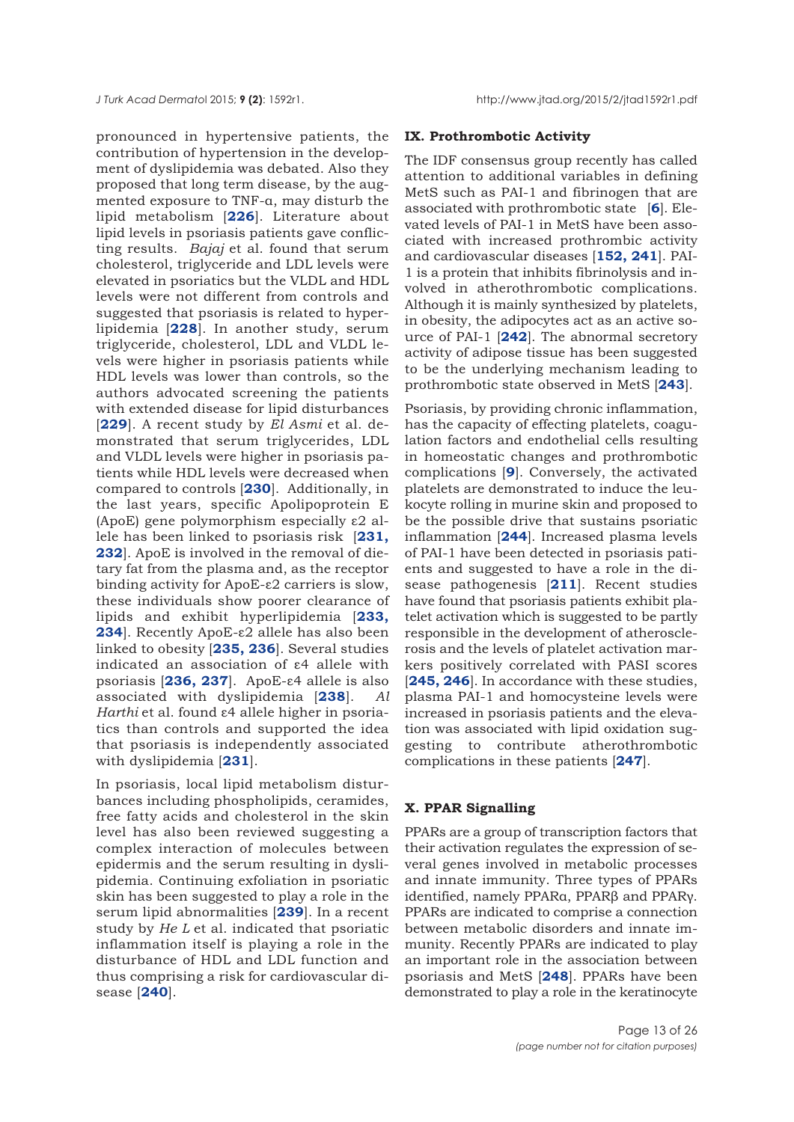pronounced in hypertensive patients, the contribution of hypertension in the development of dyslipidemia was debated. Also they proposed that long term disease, by the augmented exposure to TNF-α, may disturb the lipid metabolism [**[226](#page-23-0)**]. Literature about lipid levels in psoriasis patients gave conflicting results. *Bajaj* et al. found that serum cholesterol, triglyceride and LDL levels were elevated in psoriatics but the VLDL and HDL levels were not different from controls and suggested that psoriasis is related to hyperlipidemia [**[228](#page-23-0)**]. In another study, serum triglyceride, cholesterol, LDL and VLDL levels were higher in psoriasis patients while HDL levels was lower than controls, so the authors advocated screening the patients with extended disease for lipid disturbances [**[229](#page-23-0)**]. A recent study by *El Asmi* et al. demonstrated that serum triglycerides, LDL and VLDL levels were higher in psoriasis patients while HDL levels were decreased when compared to controls [**[230](#page-23-0)**]. Additionally, in the last years, specific Apolipoprotein E (ApoE) gene polymorphism especially ε2 allele has been linked to psoriasis risk [**[231,](#page-23-0) [232](#page-23-0)**]. ApoE is involved in the removal of dietary fat from the plasma and, as the receptor binding activity for ApoE-ε2 carriers is slow, these individuals show poorer clearance of lipids and exhibit hyperlipidemia [**[233,](#page-23-0) [234](#page-23-0)**]. Recently ApoE-ε2 allele has also been linked to obesity [**[235,](#page-23-0) [236](#page-23-0)**]. Several studies indicated an association of ε4 allele with psoriasis [**[236,](#page-23-0) [237](#page-23-0)**]. ApoE-ε4 allele is also associated with dyslipidemia [**[238](#page-23-0)**]. *Al Harthi* et al. found ε4 allele higher in psoriatics than controls and supported the idea that psoriasis is independently associated with dyslipidemia [**[231](#page-23-0)**].

In psoriasis, local lipid metabolism disturbances including phospholipids, ceramides, free fatty acids and cholesterol in the skin level has also been reviewed suggesting a complex interaction of molecules between epidermis and the serum resulting in dyslipidemia. Continuing exfoliation in psoriatic skin has been suggested to play a role in the serum lipid abnormalities [**[239](#page-23-0)**]. In a recent study by *He L* et al. indicated that psoriatic inflammation itself is playing a role in the disturbance of HDL and LDL function and thus comprising a risk for cardiovascular disease [**[240](#page-23-0)**].

#### **IX. Prothrombotic Activity**

The IDF consensus group recently has called attention to additional variables in defining MetS such as PAI-1 and fibrinogen that are associated with prothrombotic state [**[6](#page-14-0)**]. Elevated levels of PAI-1 in MetS have been associated with increased prothrombic activity and cardiovascular diseases [**[152,](#page-20-0) [241](#page-23-0)**]. PAI-1 is a protein that inhibits fibrinolysis and involved in atherothrombotic complications. Although it is mainly synthesized by platelets, in obesity, the adipocytes act as an active source of PAI-1 [**[242](#page-24-0)**]. The abnormal secretory activity of adipose tissue has been suggested to be the underlying mechanism leading to prothrombotic state observed in MetS [**[243](#page-24-0)**].

Psoriasis, by providing chronic inflammation, has the capacity of effecting platelets, coagulation factors and endothelial cells resulting in homeostatic changes and prothrombotic complications [**[9](#page-15-0)**]. Conversely, the activated platelets are demonstrated to induce the leukocyte rolling in murine skin and proposed to be the possible drive that sustains psoriatic inflammation [**[244](#page-24-0)**]. Increased plasma levels of PAI-1 have been detected in psoriasis patients and suggested to have a role in the disease pathogenesis [**[211](#page-22-0)**]. Recent studies have found that psoriasis patients exhibit platelet activation which is suggested to be partly responsible in the development of atherosclerosis and the levels of platelet activation markers positively correlated with PASI scores [[245, 246](#page-24-0)]. In accordance with these studies, plasma PAI-1 and homocysteine levels were increased in psoriasis patients and the elevation was associated with lipid oxidation suggesting to contribute atherothrombotic complications in these patients [**[247](#page-24-0)**].

# **X. PPAR Signalling**

PPARs are a group of transcription factors that their activation regulates the expression of several genes involved in metabolic processes and innate immunity. Three types of PPARs identified, namely PPARα, PPARβ and PPARγ. PPARs are indicated to comprise a connection between metabolic disorders and innate immunity. Recently PPARs are indicated to play an important role in the association between psoriasis and MetS [**[248](#page-24-0)**]. PPARs have been demonstrated to play a role in the keratinocyte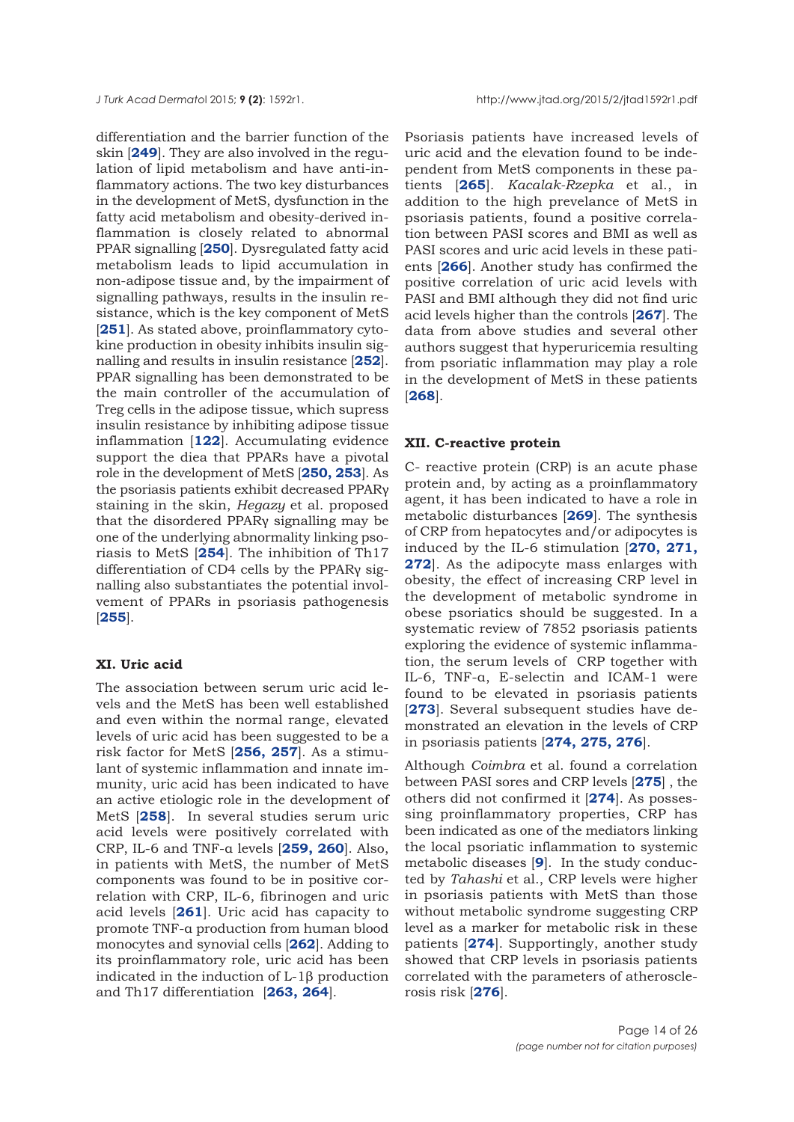differentiation and the barrier function of the skin [**[249](#page-24-0)**]. They are also involved in the regulation of lipid metabolism and have anti-inflammatory actions. The two key disturbances in the development of MetS, dysfunction in the fatty acid metabolism and obesity-derived inflammation is closely related to abnormal PPAR signalling [**[250](#page-24-0)**]. Dysregulated fatty acid metabolism leads to lipid accumulation in non-adipose tissue and, by the impairment of signalling pathways, results in the insulin resistance, which is the key component of MetS [[251](#page-24-0)]. As stated above, proinflammatory cytokine production in obesity inhibits insulin signalling and results in insulin resistance [**[252](#page-24-0)**]. PPAR signalling has been demonstrated to be the main controller of the accumulation of Treg cells in the adipose tissue, which supress insulin resistance by inhibiting adipose tissue inflammation [**[122](#page-19-0)**]. Accumulating evidence support the diea that PPARs have a pivotal role in the development of MetS [**[250, 253](#page-24-0)**]. As the psoriasis patients exhibit decreased PPARγ staining in the skin, *Hegazy* et al. proposed that the disordered PPARγ signalling may be one of the underlying abnormality linking psoriasis to MetS [**[254](#page-24-0)**]. The inhibition of Th17 differentiation of CD4 cells by the PPARγ signalling also substantiates the potential involvement of PPARs in psoriasis pathogenesis [**[255](#page-24-0)**].

#### **XI. Uric acid**

The association between serum uric acid levels and the MetS has been well established and even within the normal range, elevated levels of uric acid has been suggested to be a risk factor for MetS [**[256,](#page-24-0) [257](#page-24-0)**]. As a stimulant of systemic inflammation and innate immunity, uric acid has been indicated to have an active etiologic role in the development of MetS [**[258](#page-24-0)**]. In several studies serum uric acid levels were positively correlated with CRP, IL-6 and TNF-α levels [**[259, 260](#page-24-0)**]. Also, in patients with MetS, the number of MetS components was found to be in positive correlation with CRP, IL-6, fibrinogen and uric acid levels [**[261](#page-24-0)**]. Uric acid has capacity to promote TNF-α production from human blood monocytes and synovial cells [**[262](#page-24-0)**]. Adding to its proinflammatory role, uric acid has been indicated in the induction of L-1β production and Th17 differentiation [**[263,](#page-24-0) [264](#page-24-0)**].

Psoriasis patients have increased levels of uric acid and the elevation found to be independent from MetS components in these patients [**[265](#page-25-0)**]. *Kacalak-Rzepka* et al., in addition to the high prevelance of MetS in psoriasis patients, found a positive correlation between PASI scores and BMI as well as PASI scores and uric acid levels in these patients [**[266](#page-25-0)**]. Another study has confirmed the positive correlation of uric acid levels with PASI and BMI although they did not find uric acid levels higher than the controls [**[267](#page-25-0)**]. The data from above studies and several other authors suggest that hyperuricemia resulting from psoriatic inflammation may play a role in the development of MetS in these patients [**[268](#page-25-0)**].

#### **XII. C-reactive protein**

C- reactive protein (CRP) is an acute phase protein and, by acting as a proinflammatory agent, it has been indicated to have a role in metabolic disturbances [**[269](#page-25-0)**]. The synthesis of CRP from hepatocytes and/or adipocytes is induced by the IL-6 stimulation [**[270,](#page-25-0) [271,](#page-25-0) [272](#page-25-0)**]. As the adipocyte mass enlarges with obesity, the effect of increasing CRP level in the development of metabolic syndrome in obese psoriatics should be suggested. In a systematic review of 7852 psoriasis patients exploring the evidence of systemic inflammation, the serum levels of CRP together with IL-6, TNF-α, E-selectin and ICAM-1 were found to be elevated in psoriasis patients [[273](#page-25-0)]. Several subsequent studies have demonstrated an elevation in the levels of CRP in psoriasis patients [**[274,](#page-25-0) [275, 276](#page-25-0)**].

Although *Coimbra* et al. found a correlation between PASI sores and CRP levels [**[275](#page-25-0)**] , the others did not confirmed it [**[274](#page-25-0)**]. As possessing proinflammatory properties, CRP has been indicated as one of the mediators linking the local psoriatic inflammation to systemic metabolic diseases [**[9](#page-15-0)**]. In the study conducted by *Tahashi* et al., CRP levels were higher in psoriasis patients with MetS than those without metabolic syndrome suggesting CRP level as a marker for metabolic risk in these patients [**[274](#page-25-0)**]. Supportingly, another study showed that CRP levels in psoriasis patients correlated with the parameters of atherosclerosis risk [**[276](#page-25-0)**].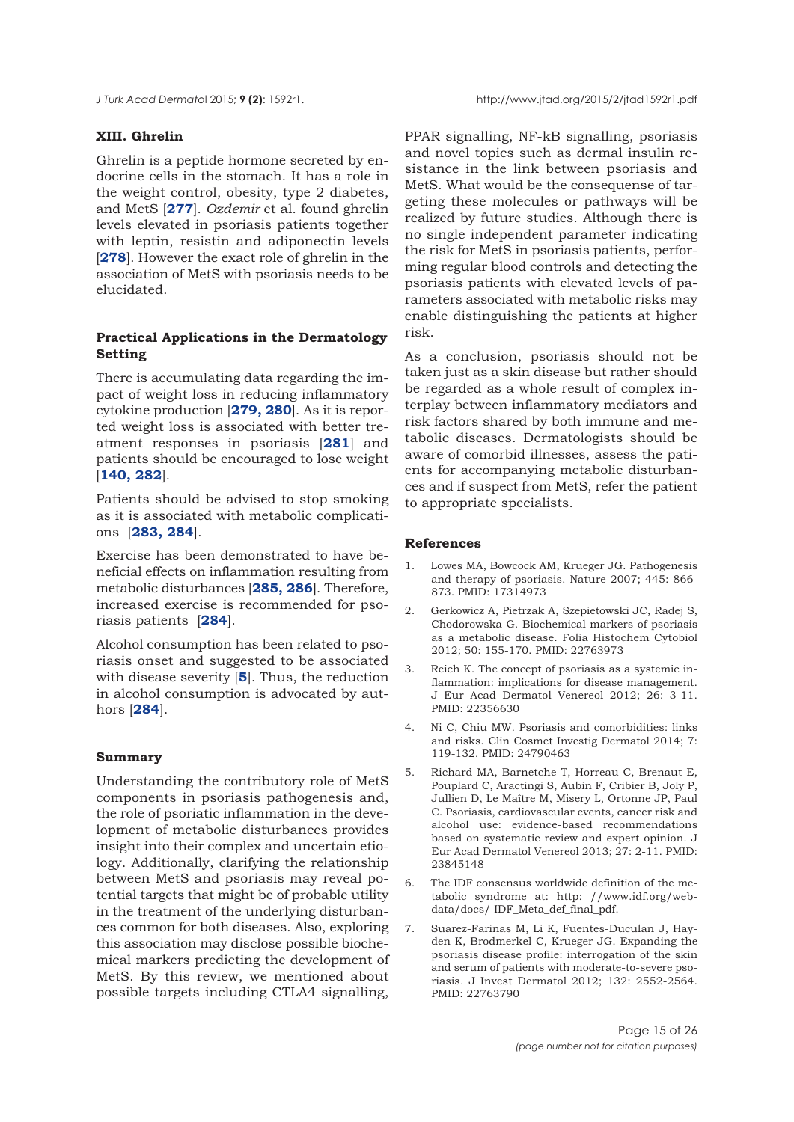<span id="page-14-0"></span>

## **XIII. Ghrelin**

Ghrelin is a peptide hormone secreted by endocrine cells in the stomach. It has a role in the weight control, obesity, type 2 diabetes, and MetS [**[277](#page-24-0)**]. *Ozdemir* et al. found ghrelin levels elevated in psoriasis patients together with leptin, resistin and adiponectin levels [**[278](#page-24-0)**]. However the exact role of ghrelin in the association of MetS with psoriasis needs to be elucidated.

## **Practical Applications in the Dermatology Setting**

There is accumulating data regarding the impact of weight loss in reducing inflammatory cytokine production [**[279, 280](#page-25-0)**]. As it is reported weight loss is associated with better treatment responses in psoriasis [**[281](#page-25-0)**] and patients should be encouraged to lose weight [**[140,](#page-20-0) [282](#page-25-0)**].

Patients should be advised to stop smoking as it is associated with metabolic complications [**[283, 284](#page-25-0)**].

Exercise has been demonstrated to have beneficial effects on inflammation resulting from metabolic disturbances [**[285, 286](#page-25-0)**]. Therefore, increased exercise is recommended for psoriasis patients [**[284](#page-25-0)**].

Alcohol consumption has been related to psoriasis onset and suggested to be associated with disease severity [**5**]. Thus, the reduction in alcohol consumption is advocated by authors [**[284](#page-25-0)**].

## **Summary**

Understanding the contributory role of MetS components in psoriasis pathogenesis and, the role of psoriatic inflammation in the development of metabolic disturbances provides insight into their complex and uncertain etiology. Additionally, clarifying the relationship between MetS and psoriasis may reveal potential targets that might be of probable utility in the treatment of the underlying disturbances common for both diseases. Also, exploring this association may disclose possible biochemical markers predicting the development of MetS. By this review, we mentioned about possible targets including CTLA4 signalling,

PPAR signalling, NF-kB signalling, psoriasis and novel topics such as dermal insulin resistance in the link between psoriasis and MetS. What would be the consequense of targeting these molecules or pathways will be realized by future studies. Although there is no single independent parameter indicating the risk for MetS in psoriasis patients, performing regular blood controls and detecting the psoriasis patients with elevated levels of parameters associated with metabolic risks may enable distinguishing the patients at higher risk.

As a conclusion, psoriasis should not be taken just as a skin disease but rather should be regarded as a whole result of complex interplay between inflammatory mediators and risk factors shared by both immune and metabolic diseases. Dermatologists should be aware of comorbid illnesses, assess the patients for accompanying metabolic disturbances and if suspect from MetS, refer the patient to appropriate specialists.

#### **References**

- 1. Lowes MA, Bowcock AM, Krueger JG. Pathogenesis and therapy of psoriasis. Nature 2007; 445: 866- 873. PMID: 17314973
- 2. Gerkowicz A, Pietrzak A, Szepietowski JC, Radej S, Chodorowska G. Biochemical markers of psoriasis as a metabolic disease. Folia Histochem Cytobiol 2012; 50: 155-170. PMID: 22763973
- 3. Reich K. The concept of psoriasis as a systemic inflammation: implications for disease management. J Eur Acad Dermatol Venereol 2012; 26: 3-11. PMID: 22356630
- 4. Ni C, Chiu MW. Psoriasis and comorbidities: links and risks. Clin Cosmet Investig Dermatol 2014; 7: 119-132. PMID: 24790463
- 5. Richard MA, Barnetche T, Horreau C, Brenaut E, Pouplard C, Aractingi S, Aubin F, Cribier B, Joly P, Jullien D, Le Maître M, Misery L, Ortonne JP, Paul C. Psoriasis, cardiovascular events, cancer risk and alcohol use: evidence-based recommendations based on systematic review and expert opinion. J Eur Acad Dermatol Venereol 2013; 27: 2-11. PMID: 23845148
- 6. The IDF consensus worldwide definition of the metabolic syndrome at: http: //www.idf.org/webdata/docs/ IDF\_Meta\_def\_final\_pdf.
- 7. Suarez-Farinas M, Li K, Fuentes-Duculan J, Hayden K, Brodmerkel C, Krueger JG. Expanding the psoriasis disease profile: interrogation of the skin and serum of patients with moderate-to-severe psoriasis. J Invest Dermatol 2012; 132: 2552-2564. PMID: 22763790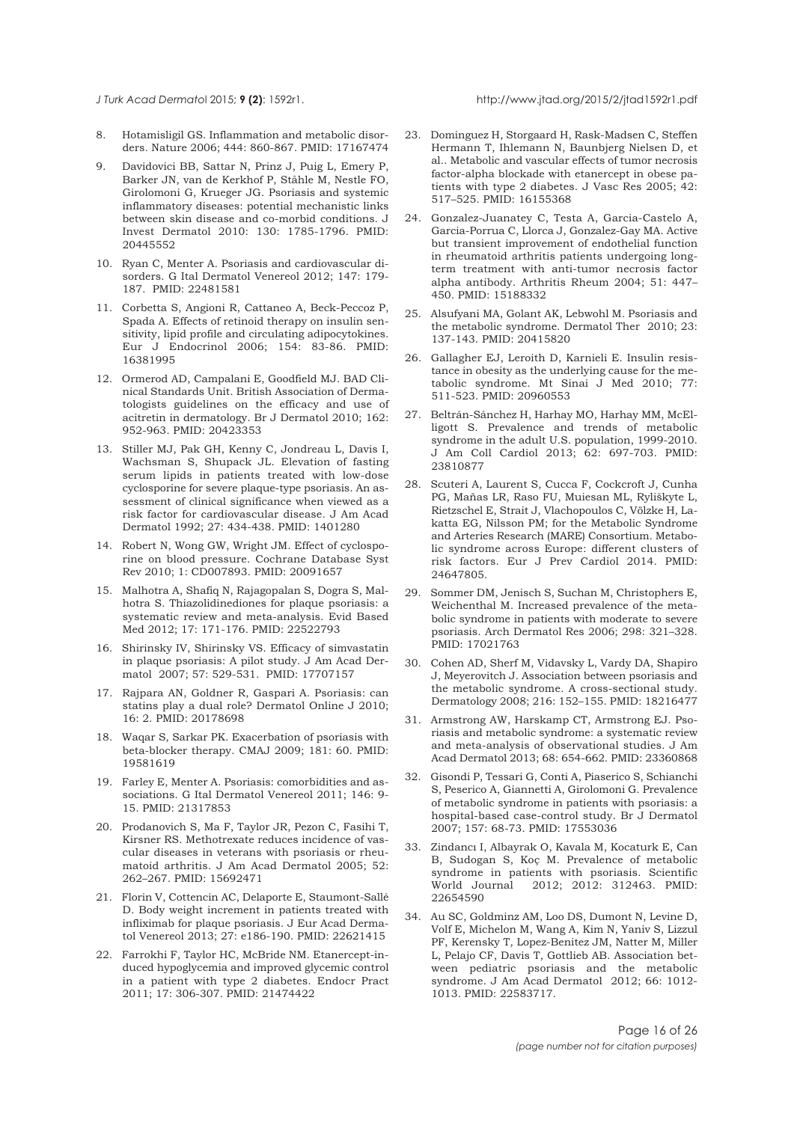<span id="page-15-0"></span>

- 8. Hotamisligil GS. Inflammation and metabolic disorders. Nature 2006; 444: 860-867. PMID: 17167474
- 9. Davidovici BB, Sattar N, Prinz J, Puig L, Emery P, Barker JN, van de Kerkhof P, Ståhle M, Nestle FO, Girolomoni G, Krueger JG. Psoriasis and systemic inflammatory diseases: potential mechanistic links between skin disease and co-morbid conditions. J Invest Dermatol 2010: 130: 1785-1796. PMID: 20445552
- 10. Ryan C, Menter A. Psoriasis and cardiovascular disorders. G Ital Dermatol Venereol 2012; 147: 179- 187. PMID: 22481581
- 11. Corbetta S, Angioni R, Cattaneo A, Beck-Peccoz P, Spada A. Effects of retinoid therapy on insulin sensitivity, lipid profile and circulating adipocytokines. Eur J Endocrinol 2006; 154: 83-86. PMID: 16381995
- 12. Ormerod AD, Campalani E, Goodfield MJ. BAD Clinical Standards Unit. British Association of Dermatologists guidelines on the efficacy and use of acitretin in dermatology. Br J Dermatol 2010; 162: 952-963. PMID: 20423353
- 13. Stiller MJ, Pak GH, Kenny C, Jondreau L, Davis I, Wachsman S, Shupack JL. Elevation of fasting serum lipids in patients treated with low-dose cyclosporine for severe plaque-type psoriasis. An assessment of clinical significance when viewed as a risk factor for cardiovascular disease. J Am Acad Dermatol 1992; 27: 434-438. PMID: 1401280
- 14. Robert N, Wong GW, Wright JM. Effect of cyclosporine on blood pressure. Cochrane Database Syst Rev 2010; 1: CD007893. PMID: 20091657
- 15. Malhotra A, Shafiq N, Rajagopalan S, Dogra S, Malhotra S. Thiazolidinediones for plaque psoriasis: a systematic review and meta-analysis. Evid Based Med 2012; 17: 171-176. PMID: 22522793
- 16. Shirinsky IV, Shirinsky VS. Efficacy of simvastatin in plaque psoriasis: A pilot study. J Am Acad Dermatol 2007; 57: 529-531. PMID: 17707157
- 17. Rajpara AN, Goldner R, Gaspari A. Psoriasis: can statins play a dual role? Dermatol Online J 2010; 16: 2. PMID: 20178698
- 18. Waqar S, Sarkar PK. Exacerbation of psoriasis with beta-blocker therapy. CMAJ 2009; 181: 60. PMID: 19581619
- 19. Farley E, Menter A. Psoriasis: comorbidities and associations. G Ital Dermatol Venereol 2011; 146: 9- 15. PMID: 21317853
- 20. Prodanovich S, Ma F, Taylor JR, Pezon C, Fasihi T, Kirsner RS. Methotrexate reduces incidence of vascular diseases in veterans with psoriasis or rheumatoid arthritis. J Am Acad Dermatol 2005; 52: 262–267. PMID: 15692471
- 21. Florin V, Cottencin AC, Delaporte E, Staumont-Sallé D. Body weight increment in patients treated with infliximab for plaque psoriasis. J Eur Acad Dermatol Venereol 2013; 27: e186-190. PMID: 22621415
- 22. Farrokhi F, Taylor HC, McBride NM. Etanercept-induced hypoglycemia and improved glycemic control in a patient with type 2 diabetes. Endocr Pract 2011; 17: 306-307. PMID: 21474422
- 23. Dominguez H, Storgaard H, Rask-Madsen C, Steffen Hermann T, Ihlemann N, Baunbjerg Nielsen D, et al.. Metabolic and vascular effects of tumor necrosis factor-alpha blockade with etanercept in obese patients with type 2 diabetes. J Vasc Res 2005; 42: 517–525. PMID: 16155368
- 24. Gonzalez-Juanatey C, Testa A, Garcia-Castelo A, Garcia-Porrua C, Llorca J, Gonzalez-Gay MA. Active but transient improvement of endothelial function in rheumatoid arthritis patients undergoing longterm treatment with anti-tumor necrosis factor alpha antibody. Arthritis Rheum 2004; 51: 447– 450. PMID: 15188332
- 25. Alsufyani MA, Golant AK, Lebwohl M. Psoriasis and the metabolic syndrome. Dermatol Ther 2010; 23: 137-143. PMID: 20415820
- 26. Gallagher EJ, Leroith D, Karnieli E. Insulin resistance in obesity as the underlying cause for the metabolic syndrome. Mt Sinai J Med 2010; 77: 511-523. PMID: 20960553
- 27. Beltrán-Sánchez H, Harhay MO, Harhay MM, McElligott S. Prevalence and trends of metabolic syndrome in the adult U.S. population, 1999-2010. J Am Coll Cardiol 2013; 62: 697-703. PMID: 23810877
- 28. Scuteri A, Laurent S, Cucca F, Cockcroft J, Cunha PG, Mañas LR, Raso FU, Muiesan ML, Ryliškyte L, Rietzschel E, Strait J, Vlachopoulos C, Völzke H, Lakatta EG, Nilsson PM; for the Metabolic Syndrome and Arteries Research (MARE) Consortium. Metabolic syndrome across Europe: different clusters of risk factors. Eur J Prev Cardiol 2014. PMID: 24647805.
- 29. Sommer DM, Jenisch S, Suchan M, Christophers E, Weichenthal M. Increased prevalence of the metabolic syndrome in patients with moderate to severe psoriasis. Arch Dermatol Res 2006; 298: 321–328. PMID: 17021763
- 30. Cohen AD, Sherf M, Vidavsky L, Vardy DA, Shapiro J, Meyerovitch J. Association between psoriasis and the metabolic syndrome. A cross-sectional study. Dermatology 2008; 216: 152–155. PMID: 18216477
- 31. Armstrong AW, Harskamp CT, Armstrong EJ. Psoriasis and metabolic syndrome: a systematic review and meta-analysis of observational studies. J Am Acad Dermatol 2013; 68: 654-662. PMID: 23360868
- 32. Gisondi P, Tessari G, Conti A, Piaserico S, Schianchi S, Peserico A, Giannetti A, Girolomoni G. Prevalence of metabolic syndrome in patients with psoriasis: a hospital-based case-control study. Br J Dermatol 2007; 157: 68-73. PMID: 17553036
- 33. Zindancı I, Albayrak O, Kavala M, Kocaturk E, Can B, Sudogan S, Koç M. Prevalence of metabolic syndrome in patients with psoriasis. Scientific World Journal 2012; 2012: 312463. PMID: 22654590
- 34. Au SC, Goldminz AM, Loo DS, Dumont N, Levine D, Volf E, Michelon M, Wang A, Kim N, Yaniv S, Lizzul PF, Kerensky T, Lopez-Benitez JM, Natter M, Miller L, Pelajo CF, Davis T, Gottlieb AB. Association between pediatric psoriasis and the metabolic syndrome. J Am Acad Dermatol 2012; 66: 1012- 1013. PMID: 22583717.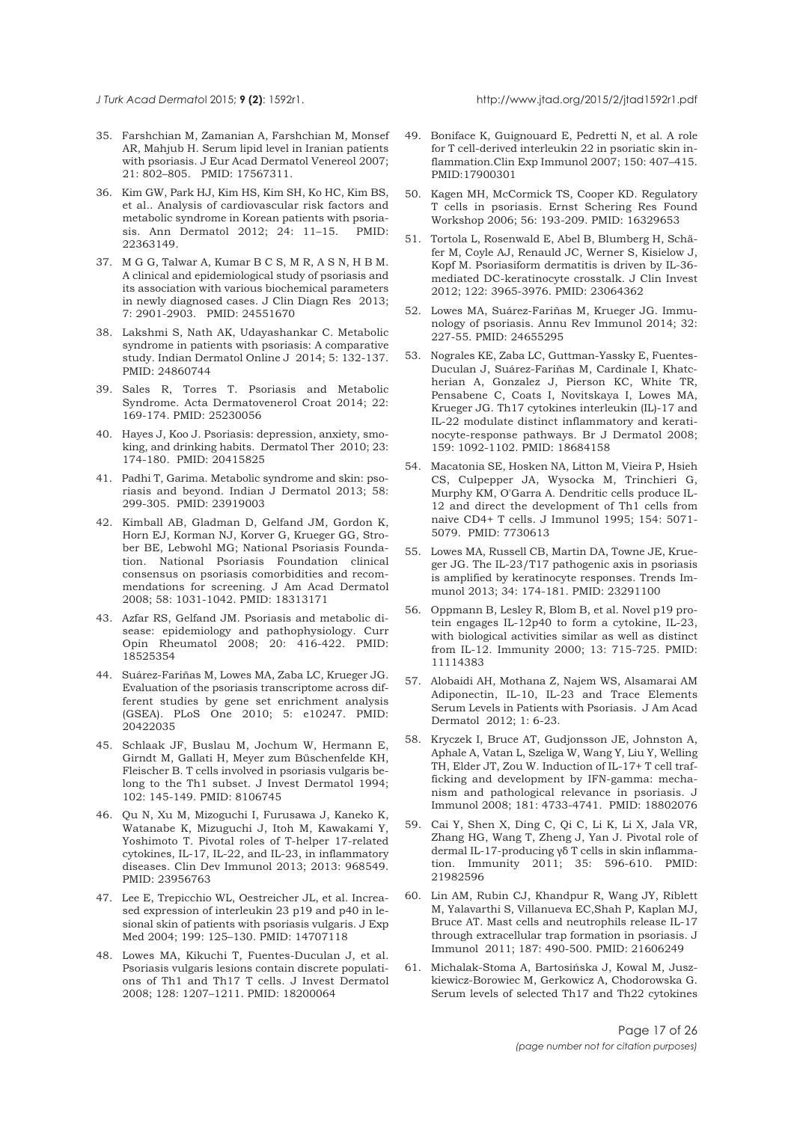<span id="page-16-0"></span>

- 35. Farshchian M, Zamanian A, Farshchian M, Monsef AR, Mahjub H. Serum lipid level in Iranian patients with psoriasis. J Eur Acad Dermatol Venereol 2007; 21: 802–805. PMID: 17567311.
- 36. Kim GW, Park HJ, Kim HS, Kim SH, Ko HC, Kim BS, et al.. Analysis of cardiovascular risk factors and metabolic syndrome in Korean patients with psoriasis. Ann Dermatol 2012; 24: 11–15. PMID: 22363149.
- 37. M G G, Talwar A, Kumar B C S, M R, A S N, H B M. A clinical and epidemiological study of psoriasis and its association with various biochemical parameters in newly diagnosed cases. J Clin Diagn Res 2013; 7: 2901-2903. PMID: 24551670
- 38. Lakshmi S, Nath AK, Udayashankar C. Metabolic syndrome in patients with psoriasis: A comparative study. Indian Dermatol Online J 2014; 5: 132-137. PMID: 24860744
- 39. Sales R, Torres T. Psoriasis and Metabolic Syndrome. Acta Dermatovenerol Croat 2014; 22: 169-174. PMID: 25230056
- 40. Hayes J, Koo J. Psoriasis: depression, anxiety, smoking, and drinking habits. Dermatol Ther 2010; 23: 174-180. PMID: 20415825
- 41. Padhi T, Garima. Metabolic syndrome and skin: psoriasis and beyond. Indian J Dermatol 2013; 58: 299-305. PMID: 23919003
- 42. Kimball AB, Gladman D, Gelfand JM, Gordon K, Horn EJ, Korman NJ, Korver G, Krueger GG, Strober BE, Lebwohl MG; National Psoriasis Foundation. National Psoriasis Foundation clinical consensus on psoriasis comorbidities and recommendations for screening. J Am Acad Dermatol 2008; 58: 1031-1042. PMID: 18313171
- 43. Azfar RS, Gelfand JM. Psoriasis and metabolic disease: epidemiology and pathophysiology. Curr Opin Rheumatol 2008; 20: 416-422. PMID: 18525354
- 44. Suárez-Fariñas M, Lowes MA, Zaba LC, Krueger JG. Evaluation of the psoriasis transcriptome across different studies by gene set enrichment analysis (GSEA). PLoS One 2010; 5: e10247. PMID: 20422035
- 45. Schlaak JF, Buslau M, Jochum W, Hermann E, Girndt M, Gallati H, Meyer zum Büschenfelde KH, Fleischer B. T cells involved in psoriasis vulgaris belong to the Th1 subset. J Invest Dermatol 1994; 102: 145-149. PMID: 8106745
- 46. Qu N, Xu M, Mizoguchi I, Furusawa J, Kaneko K, Watanabe K, Mizuguchi J, Itoh M, Kawakami Y, Yoshimoto T. Pivotal roles of T-helper 17-related cytokines, IL-17, IL-22, and IL-23, in inflammatory diseases. Clin Dev Immunol 2013; 2013: 968549. PMID: 23956763
- 47. Lee E, Trepicchio WL, Oestreicher JL, et al. Increased expression of interleukin 23 p19 and p40 in lesional skin of patients with psoriasis vulgaris. J Exp Med 2004; 199: 125–130. PMID: 14707118
- 48. Lowes MA, Kikuchi T, Fuentes-Duculan J, et al. Psoriasis vulgaris lesions contain discrete populations of Th1 and Th17 T cells. J Invest Dermatol 2008; 128: 1207–1211. PMID: 18200064
- 49. Boniface K, Guignouard E, Pedretti N, et al. A role for T cell-derived interleukin 22 in psoriatic skin inflammation.Clin Exp Immunol 2007; 150: 407–415. PMID:17900301
- 50. Kagen MH, McCormick TS, Cooper KD. Regulatory T cells in psoriasis. Ernst Schering Res Found Workshop 2006; 56: 193-209. PMID: 16329653
- 51. Tortola L, Rosenwald E, Abel B, Blumberg H, Schäfer M, Coyle AJ, Renauld JC, Werner S, Kisielow J, Kopf M. Psoriasiform dermatitis is driven by IL-36 mediated DC-keratinocyte crosstalk. J Clin Invest 2012; 122: 3965-3976. PMID: 23064362
- 52. Lowes MA, Suárez-Fariñas M, Krueger JG. Immunology of psoriasis. Annu Rev Immunol 2014; 32: 227-55. PMID: 24655295
- 53. Nograles KE, Zaba LC, Guttman-Yassky E, Fuentes-Duculan J, Suárez-Fariñas M, Cardinale I, Khatcherian A, Gonzalez J, Pierson KC, White TR, Pensabene C, Coats I, Novitskaya I, Lowes MA, Krueger JG. Th17 cytokines interleukin (IL)-17 and IL-22 modulate distinct inflammatory and keratinocyte-response pathways. Br J Dermatol 2008; 159: 1092-1102. PMID: 18684158
- 54. Macatonia SE, Hosken NA, Litton M, Vieira P, Hsieh CS, Culpepper JA, Wysocka M, Trinchieri G, Murphy KM, O'Garra A. Dendritic cells produce IL-12 and direct the development of Th1 cells from naive CD4+ T cells. J Immunol 1995; 154: 5071- 5079. PMID: 7730613
- 55. Lowes MA, Russell CB, Martin DA, Towne JE, Krueger JG. The IL-23/T17 pathogenic axis in psoriasis is amplified by keratinocyte responses. Trends Immunol 2013; 34: 174-181. PMID: 23291100
- 56. Oppmann B, Lesley R, Blom B, et al. Novel p19 protein engages IL-12p40 to form a cytokine, IL-23, with biological activities similar as well as distinct from IL-12. Immunity 2000; 13: 715-725. PMID: 11114383
- 57. Alobaidi AH, Mothana Z, Najem WS, Alsamarai AM Adiponectin, IL-10, IL-23 and Trace Elements Serum Levels in Patients with Psoriasis. J Am Acad Dermatol 2012; 1: 6-23.
- 58. Kryczek I, Bruce AT, Gudjonsson JE, Johnston A, Aphale A, Vatan L, Szeliga W, Wang Y, Liu Y, Welling TH, Elder JT, Zou W. Induction of IL-17+ T cell trafficking and development by IFN-gamma: mechanism and pathological relevance in psoriasis. J Immunol 2008; 181: 4733-4741. PMID: 18802076
- 59. Cai Y, Shen X, Ding C, Qi C, Li K, Li X, Jala VR, Zhang HG, Wang T, Zheng J, Yan J. Pivotal role of dermal IL-17-producing γδ T cells in skin inflammation. Immunity 2011; 35: 596-610. PMID: 21982596
- 60. Lin AM, Rubin CJ, Khandpur R, Wang JY, Riblett M, Yalavarthi S, Villanueva EC,Shah P, Kaplan MJ, Bruce AT. Mast cells and neutrophils release IL-17 through extracellular trap formation in psoriasis. J Immunol 2011; 187: 490-500. PMID: 21606249
- 61. Michalak-Stoma A, Bartosińska J, Kowal M, Juszkiewicz-Borowiec M, Gerkowicz A, Chodorowska G. Serum levels of selected Th17 and Th22 cytokines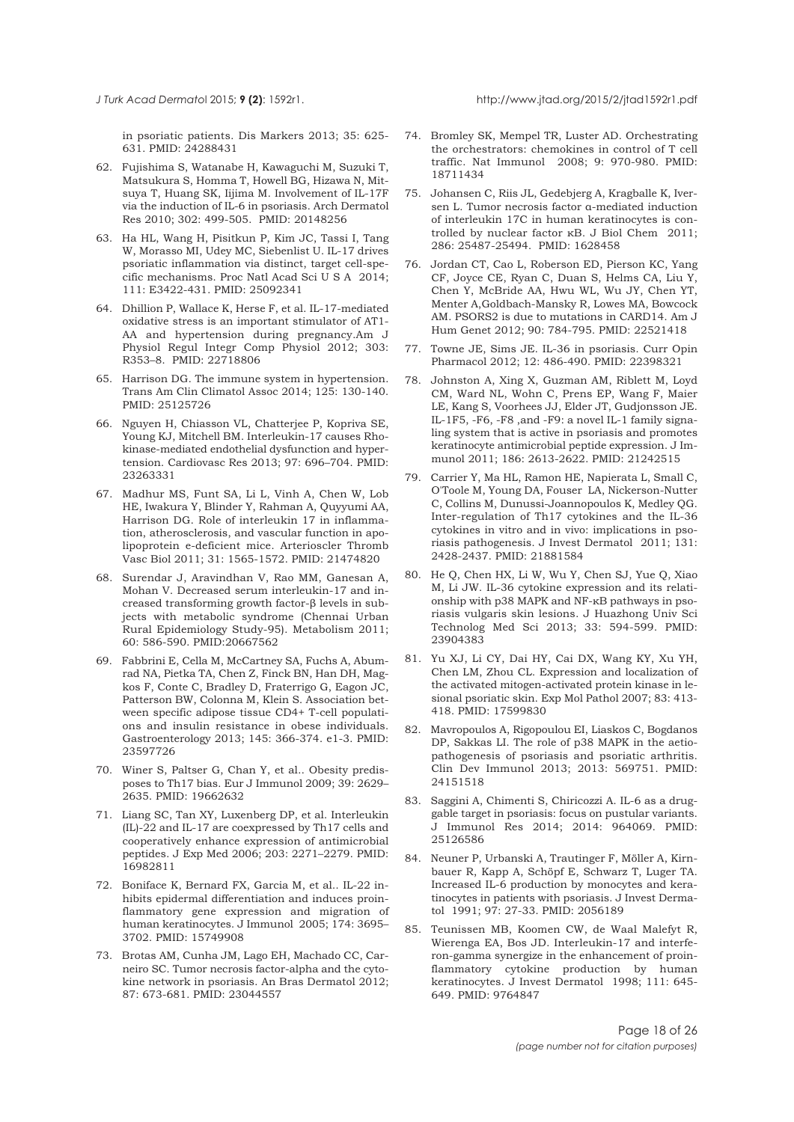<span id="page-17-0"></span>in psoriatic patients. Dis Markers 2013; 35: 625- 631. PMID: 24288431

- 62. Fujishima S, Watanabe H, Kawaguchi M, Suzuki T, Matsukura S, Homma T, Howell BG, Hizawa N, Mitsuya T, Huang SK, Iijima M. Involvement of IL-17F via the induction of IL-6 in psoriasis. Arch Dermatol Res 2010; 302: 499-505. PMID: 20148256
- 63. Ha HL, Wang H, Pisitkun P, Kim JC, Tassi I, Tang W, Morasso MI, Udey MC, Siebenlist U. IL-17 drives psoriatic inflammation via distinct, target cell-specific mechanisms. Proc Natl Acad Sci U S A 2014; 111: E3422-431. PMID: 25092341
- 64. Dhillion P, Wallace K, Herse F, et al. IL-17-mediated oxidative stress is an important stimulator of AT1- AA and hypertension during pregnancy.Am J Physiol Regul Integr Comp Physiol 2012; 303: R353–8. PMID: 22718806
- 65. Harrison DG. The immune system in hypertension. Trans Am Clin Climatol Assoc 2014; 125: 130-140. PMID: 25125726
- 66. Nguyen H, Chiasson VL, Chatterjee P, Kopriva SE, Young KJ, Mitchell BM. Interleukin-17 causes Rhokinase-mediated endothelial dysfunction and hypertension. Cardiovasc Res 2013; 97: 696–704. PMID: 23263331
- 67. Madhur MS, Funt SA, Li L, Vinh A, Chen W, Lob HE, Iwakura Y, Blinder Y, Rahman A, Quyyumi AA, Harrison DG. Role of interleukin 17 in inflammation, atherosclerosis, and vascular function in apolipoprotein e-deficient mice. Arterioscler Thromb Vasc Biol 2011; 31: 1565-1572. PMID: 21474820
- 68. Surendar J, Aravindhan V, Rao MM, Ganesan A, Mohan V. Decreased serum interleukin-17 and increased transforming growth factor-β levels in subjects with metabolic syndrome (Chennai Urban Rural Epidemiology Study-95). Metabolism 2011; 60: 586-590. PMID:20667562
- 69. Fabbrini E, Cella M, McCartney SA, Fuchs A, Abumrad NA, Pietka TA, Chen Z, Finck BN, Han DH, Magkos F, Conte C, Bradley D, Fraterrigo G, Eagon JC, Patterson BW, Colonna M, Klein S. Association between specific adipose tissue CD4+ T-cell populations and insulin resistance in obese individuals. Gastroenterology 2013; 145: 366-374. e1-3. PMID: 23597726
- 70. Winer S, Paltser G, Chan Y, et al.. Obesity predisposes to Th17 bias. Eur J Immunol 2009; 39: 2629– 2635. PMID: 19662632
- 71. Liang SC, Tan XY, Luxenberg DP, et al. Interleukin (IL)-22 and IL-17 are coexpressed by Th17 cells and cooperatively enhance expression of antimicrobial peptides. J Exp Med 2006; 203: 2271–2279. PMID: 16982811
- 72. Boniface K, Bernard FX, Garcia M, et al.. IL-22 inhibits epidermal differentiation and induces proinflammatory gene expression and migration of human keratinocytes. J Immunol 2005; 174: 3695– 3702. PMID: 15749908
- 73. Brotas AM, Cunha JM, Lago EH, Machado CC, Carneiro SC. Tumor necrosis factor-alpha and the cytokine network in psoriasis. An Bras Dermatol 2012; 87: 673-681. PMID: 23044557
- 74. Bromley SK, Mempel TR, Luster AD. Orchestrating the orchestrators: chemokines in control of T cell traffic. Nat Immunol 2008; 9: 970-980. PMID: 18711434
- 75. Johansen C, Riis JL, Gedebjerg A, Kragballe K, Iversen L. Tumor necrosis factor α-mediated induction of interleukin 17C in human keratinocytes is controlled by nuclear factor κB. J Biol Chem 2011; 286: 25487-25494. PMID: 1628458
- 76. Jordan CT, Cao L, Roberson ED, Pierson KC, Yang CF, Joyce CE, Ryan C, Duan S, Helms CA, Liu Y, Chen Y, McBride AA, Hwu WL, Wu JY, Chen YT, Menter A,Goldbach-Mansky R, Lowes MA, Bowcock AM. PSORS2 is due to mutations in CARD14. Am J Hum Genet 2012; 90: 784-795. PMID: 22521418
- 77. Towne JE, Sims JE. IL-36 in psoriasis. Curr Opin Pharmacol 2012; 12: 486-490. PMID: 22398321
- 78. Johnston A, Xing X, Guzman AM, Riblett M, Loyd CM, Ward NL, Wohn C, Prens EP, Wang F, Maier LE, Kang S, Voorhees JJ, Elder JT, Gudjonsson JE. IL-1F5, -F6, -F8 ,and -F9: a novel IL-1 family signaling system that is active in psoriasis and promotes keratinocyte antimicrobial peptide expression. J Immunol 2011; 186: 2613-2622. PMID: 21242515
- 79. Carrier Y, Ma HL, Ramon HE, Napierata L, Small C, O'Toole M, Young DA, Fouser LA, Nickerson-Nutter C, Collins M, Dunussi-Joannopoulos K, Medley QG. Inter-regulation of Th17 cytokines and the IL-36 cytokines in vitro and in vivo: implications in psoriasis pathogenesis. J Invest Dermatol 2011; 131: 2428-2437. PMID: 21881584
- 80. He Q, Chen HX, Li W, Wu Y, Chen SJ, Yue Q, Xiao M, Li JW. IL-36 cytokine expression and its relationship with p38 MAPK and NF-κB pathways in psoriasis vulgaris skin lesions. J Huazhong Univ Sci Technolog Med Sci 2013; 33: 594-599. PMID: 23904383
- 81. Yu XJ, Li CY, Dai HY, Cai DX, Wang KY, Xu YH, Chen LM, Zhou CL. Expression and localization of the activated mitogen-activated protein kinase in lesional psoriatic skin. Exp Mol Pathol 2007; 83: 413- 418. PMID: 17599830
- 82. Mavropoulos A, Rigopoulou EI, Liaskos C, Bogdanos DP, Sakkas LI. The role of p38 MAPK in the aetiopathogenesis of psoriasis and psoriatic arthritis. Clin Dev Immunol 2013; 2013: 569751. PMID: 24151518
- 83. Saggini A, Chimenti S, Chiricozzi A. IL-6 as a druggable target in psoriasis: focus on pustular variants. J Immunol Res 2014; 2014: 964069. PMID: 25126586
- 84. Neuner P, Urbanski A, Trautinger F, Möller A, Kirnbauer R, Kapp A, Schöpf E, Schwarz T, Luger TA. Increased IL-6 production by monocytes and keratinocytes in patients with psoriasis. J Invest Dermatol 1991; 97: 27-33. PMID: 2056189
- 85. Teunissen MB, Koomen CW, de Waal Malefyt R, Wierenga EA, Bos JD. Interleukin-17 and interferon-gamma synergize in the enhancement of proinflammatory cytokine production by human keratinocytes. J Invest Dermatol 1998; 111: 645- 649. PMID: 9764847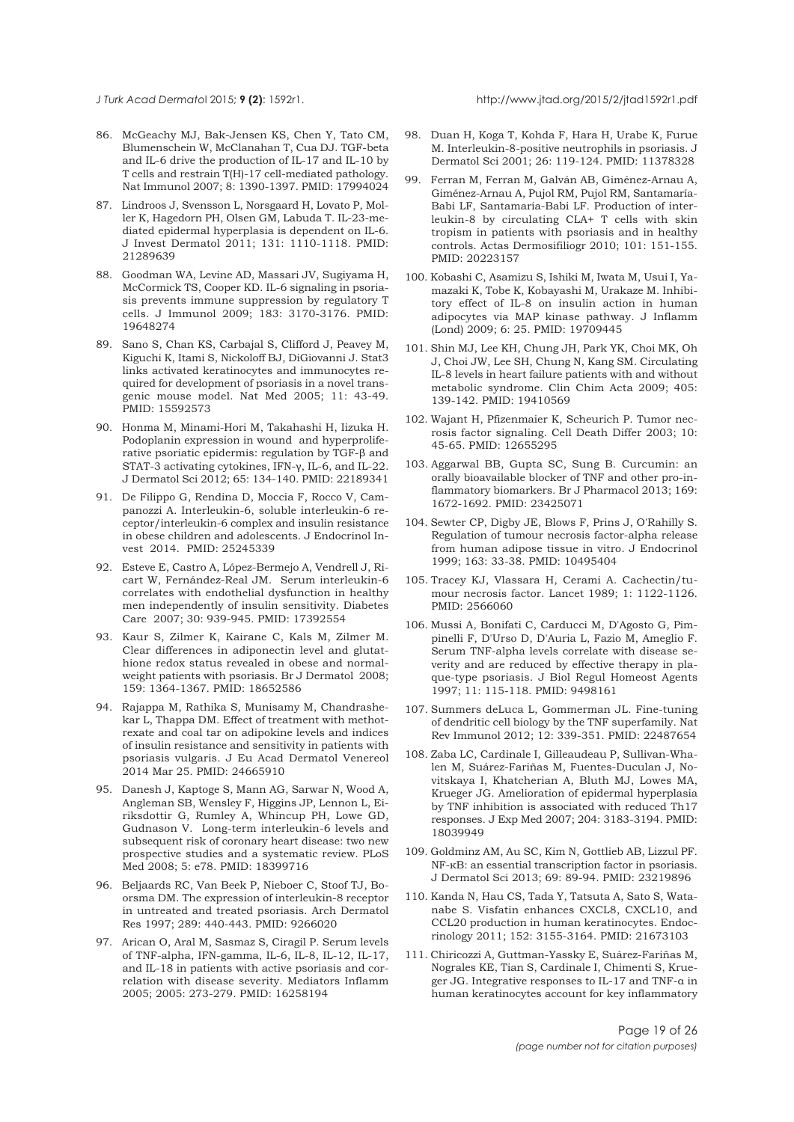<span id="page-18-0"></span>

- 86. McGeachy MJ, Bak-Jensen KS, Chen Y, Tato CM, Blumenschein W, McClanahan T, Cua DJ. TGF-beta and IL-6 drive the production of IL-17 and IL-10 by T cells and restrain T(H)-17 cell-mediated pathology. Nat Immunol 2007; 8: 1390-1397. PMID: 17994024
- 87. Lindroos J, Svensson L, Norsgaard H, Lovato P, Moller K, Hagedorn PH, Olsen GM, Labuda T. IL-23-mediated epidermal hyperplasia is dependent on IL-6. J Invest Dermatol 2011; 131: 1110-1118. PMID: 21289639
- 88. Goodman WA, Levine AD, Massari JV, Sugiyama H, McCormick TS, Cooper KD. IL-6 signaling in psoriasis prevents immune suppression by regulatory T cells. J Immunol 2009; 183: 3170-3176. PMID: 19648274
- 89. Sano S, Chan KS, Carbajal S, Clifford J, Peavey M, Kiguchi K, Itami S, Nickoloff BJ, DiGiovanni J. Stat3 links activated keratinocytes and immunocytes required for development of psoriasis in a novel transgenic mouse model. Nat Med 2005; 11: 43-49. PMID: 15592573
- 90. Honma M, Minami-Hori M, Takahashi H, Iizuka H. Podoplanin expression in wound and hyperproliferative psoriatic epidermis: regulation by TGF-β and STAT-3 activating cytokines, IFN-γ, IL-6, and IL-22. J Dermatol Sci 2012; 65: 134-140. PMID: 22189341
- 91. De Filippo G, Rendina D, Moccia F, Rocco V, Campanozzi A. Interleukin-6, soluble interleukin-6 receptor/interleukin-6 complex and insulin resistance in obese children and adolescents. J Endocrinol Invest 2014. PMID: 25245339
- 92. Esteve E, Castro A, López-Bermejo A, Vendrell J, Ricart W, Fernández-Real JM. Serum interleukin-6 correlates with endothelial dysfunction in healthy men independently of insulin sensitivity. Diabetes Care 2007; 30: 939-945. PMID: 17392554
- 93. Kaur S, Zilmer K, Kairane C, Kals M, Zilmer M. Clear differences in adiponectin level and glutathione redox status revealed in obese and normalweight patients with psoriasis. Br J Dermatol 2008; 159: 1364-1367. PMID: 18652586
- 94. Rajappa M, Rathika S, Munisamy M, Chandrashekar L, Thappa DM. Effect of treatment with methotrexate and coal tar on adipokine levels and indices of insulin resistance and sensitivity in patients with psoriasis vulgaris. J Eu Acad Dermatol Venereol 2014 Mar 25. PMID: 24665910
- 95. Danesh J, Kaptoge S, Mann AG, Sarwar N, Wood A, Angleman SB, Wensley F, Higgins JP, Lennon L, Eiriksdottir G, Rumley A, Whincup PH, Lowe GD, Gudnason V. Long-term interleukin-6 levels and subsequent risk of coronary heart disease: two new prospective studies and a systematic review. PLoS Med 2008; 5: e78. PMID: 18399716
- 96. Beljaards RC, Van Beek P, Nieboer C, Stoof TJ, Boorsma DM. The expression of interleukin-8 receptor in untreated and treated psoriasis. Arch Dermatol Res 1997; 289: 440-443. PMID: 9266020
- 97. Arican O, Aral M, Sasmaz S, Ciragil P. Serum levels of TNF-alpha, IFN-gamma, IL-6, IL-8, IL-12, IL-17, and IL-18 in patients with active psoriasis and correlation with disease severity. Mediators Inflamm 2005; 2005: 273-279. PMID: 16258194
- 98. Duan H, Koga T, Kohda F, Hara H, Urabe K, Furue M. Interleukin-8-positive neutrophils in psoriasis. J Dermatol Sci 2001; 26: 119-124. PMID: 11378328
- 99. Ferran M, Ferran M, Galván AB, Giménez-Arnau A, Giménez-Arnau A, Pujol RM, Pujol RM, Santamaría-Babi LF, Santamaría-Babi LF. Production of interleukin-8 by circulating CLA+ T cells with skin tropism in patients with psoriasis and in healthy controls. Actas Dermosifiliogr 2010; 101: 151-155. PMID: 20223157
- 100. Kobashi C, Asamizu S, Ishiki M, Iwata M, Usui I, Yamazaki K, Tobe K, Kobayashi M, Urakaze M. Inhibitory effect of IL-8 on insulin action in human adipocytes via MAP kinase pathway. J Inflamm (Lond) 2009; 6: 25. PMID: 19709445
- 101. Shin MJ, Lee KH, Chung JH, Park YK, Choi MK, Oh J, Choi JW, Lee SH, Chung N, Kang SM. Circulating IL-8 levels in heart failure patients with and without metabolic syndrome. Clin Chim Acta 2009; 405: 139-142. PMID: 19410569
- 102. Wajant H, Pfizenmaier K, Scheurich P. Tumor necrosis factor signaling. Cell Death Differ 2003; 10: 45-65. PMID: 12655295
- 103. Aggarwal BB, Gupta SC, Sung B. Curcumin: an orally bioavailable blocker of TNF and other pro-inflammatory biomarkers. Br J Pharmacol 2013; 169: 1672-1692. PMID: 23425071
- 104. Sewter CP, Digby JE, Blows F, Prins J, O'Rahilly S. Regulation of tumour necrosis factor-alpha release from human adipose tissue in vitro. J Endocrinol 1999; 163: 33-38. PMID: 10495404
- 105. Tracey KJ, Vlassara H, Cerami A. Cachectin/tumour necrosis factor. Lancet 1989; 1: 1122-1126. PMID: 2566060
- 106. Mussi A, Bonifati C, Carducci M, D'Agosto G, Pimpinelli F, D'Urso D, D'Auria L, Fazio M, Ameglio F. Serum TNF-alpha levels correlate with disease severity and are reduced by effective therapy in plaque-type psoriasis. J Biol Regul Homeost Agents 1997; 11: 115-118. PMID: 9498161
- 107. Summers deLuca L, Gommerman JL. Fine-tuning of dendritic cell biology by the TNF superfamily. Nat Rev Immunol 2012; 12: 339-351. PMID: 22487654
- 108. Zaba LC, Cardinale I, Gilleaudeau P, Sullivan-Whalen M, Suárez-Fariñas M, Fuentes-Duculan J, Novitskaya I, Khatcherian A, Bluth MJ, Lowes MA, Krueger JG. Amelioration of epidermal hyperplasia by TNF inhibition is associated with reduced Th17 responses. J Exp Med 2007; 204: 3183-3194. PMID: 18039949
- 109. Goldminz AM, Au SC, Kim N, Gottlieb AB, Lizzul PF. NF-κB: an essential transcription factor in psoriasis. J Dermatol Sci 2013; 69: 89-94. PMID: 23219896
- 110. Kanda N, Hau CS, Tada Y, Tatsuta A, Sato S, Watanabe S. Visfatin enhances CXCL8, CXCL10, and CCL20 production in human keratinocytes. Endocrinology 2011; 152: 3155-3164. PMID: 21673103
- 111. Chiricozzi A, Guttman-Yassky E, Suárez-Fariñas M, Nograles KE, Tian S, Cardinale I, Chimenti S, Krueger JG. Integrative responses to IL-17 and TNF-α in human keratinocytes account for key inflammatory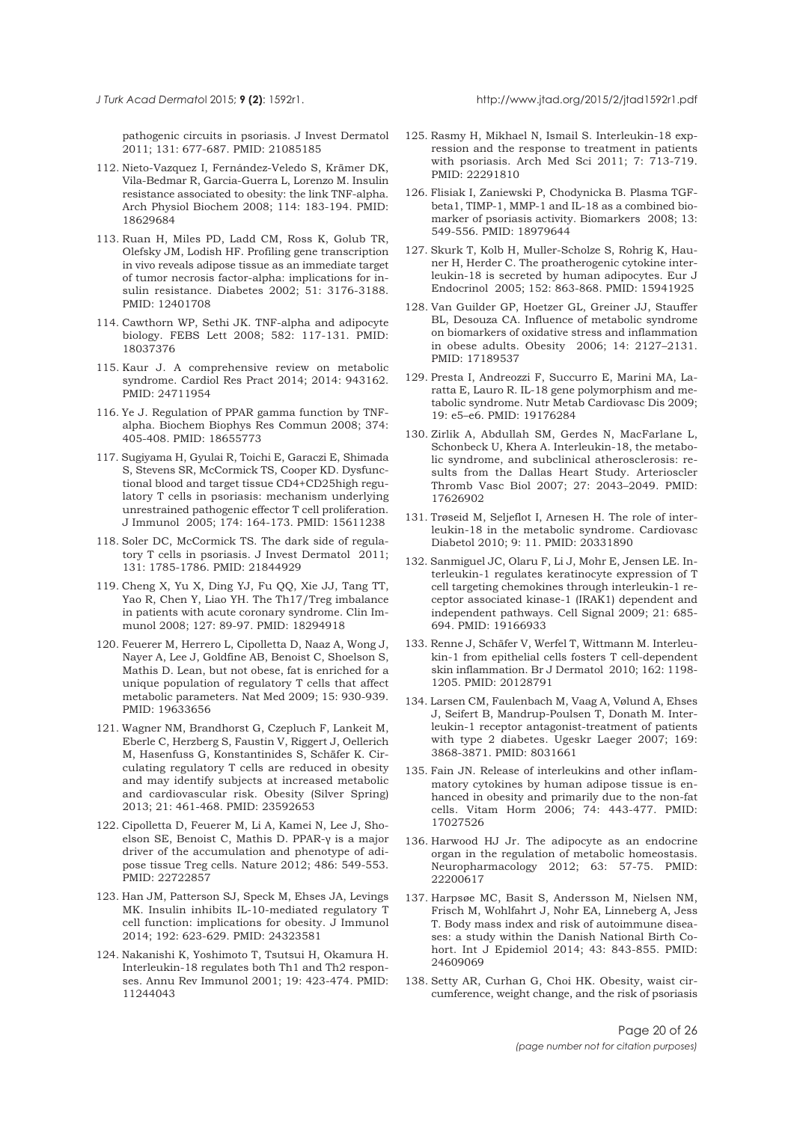pathogenic circuits in psoriasis. J Invest Dermatol 2011; 131: 677-687. PMID: 21085185

- 112. Nieto-Vazquez I, Fernández-Veledo S, Krämer DK, Vila-Bedmar R, Garcia-Guerra L, Lorenzo M. Insulin resistance associated to obesity: the link TNF-alpha. Arch Physiol Biochem 2008; 114: 183-194. PMID: 18629684
- 113. Ruan H, Miles PD, Ladd CM, Ross K, Golub TR, Olefsky JM, Lodish HF. Profiling gene transcription in vivo reveals adipose tissue as an immediate target of tumor necrosis factor-alpha: implications for insulin resistance. Diabetes 2002; 51: 3176-3188. PMID: 12401708
- 114. Cawthorn WP, Sethi JK. TNF-alpha and adipocyte biology. FEBS Lett 2008; 582: 117-131. PMID: 18037376
- 115. Kaur J. A comprehensive review on metabolic syndrome. Cardiol Res Pract 2014; 2014: 943162. PMID: 24711954
- 116. Ye J. Regulation of PPAR gamma function by TNFalpha. Biochem Biophys Res Commun 2008; 374: 405-408. PMID: 18655773
- 117. Sugiyama H, Gyulai R, Toichi E, Garaczi E, Shimada S, Stevens SR, McCormick TS, Cooper KD. Dysfunctional blood and target tissue CD4+CD25high regulatory T cells in psoriasis: mechanism underlying unrestrained pathogenic effector T cell proliferation. J Immunol 2005; 174: 164-173. PMID: 15611238
- 118. Soler DC, McCormick TS. The dark side of regulatory T cells in psoriasis. J Invest Dermatol 2011; 131: 1785-1786. PMID: 21844929
- 119. Cheng X, Yu X, Ding YJ, Fu QQ, Xie JJ, Tang TT, Yao R, Chen Y, Liao YH. The Th17/Treg imbalance in patients with acute coronary syndrome. Clin Immunol 2008; 127: 89-97. PMID: 18294918
- 120. Feuerer M, Herrero L, Cipolletta D, Naaz A, Wong J, Nayer A, Lee J, Goldfine AB, Benoist C, Shoelson S, Mathis D. Lean, but not obese, fat is enriched for a unique population of regulatory T cells that affect metabolic parameters. Nat Med 2009; 15: 930-939. PMID: 19633656
- 121. Wagner NM, Brandhorst G, Czepluch F, Lankeit M, Eberle C, Herzberg S, Faustin V, Riggert J, Oellerich M, Hasenfuss G, Konstantinides S, Schäfer K. Circulating regulatory T cells are reduced in obesity and may identify subjects at increased metabolic and cardiovascular risk. Obesity (Silver Spring) 2013; 21: 461-468. PMID: 23592653
- 122. Cipolletta D, Feuerer M, Li A, Kamei N, Lee J, Shoelson SE, Benoist C, Mathis D. PPAR-γ is a major driver of the accumulation and phenotype of adipose tissue Treg cells. Nature 2012; 486: 549-553. PMID: 22722857
- 123. Han JM, Patterson SJ, Speck M, Ehses JA, Levings MK. Insulin inhibits IL-10-mediated regulatory T cell function: implications for obesity. J Immunol 2014; 192: 623-629. PMID: 24323581
- 124. Nakanishi K, Yoshimoto T, Tsutsui H, Okamura H. Interleukin-18 regulates both Th1 and Th2 responses. Annu Rev Immunol 2001; 19: 423-474. PMID: 11244043
- 125. Rasmy H, Mikhael N, Ismail S. Interleukin-18 expression and the response to treatment in patients with psoriasis. Arch Med Sci 2011; 7: 713-719. PMID: 22291810
- 126. Flisiak I, Zaniewski P, Chodynicka B. Plasma TGFbeta1, TIMP-1, MMP-1 and IL-18 as a combined biomarker of psoriasis activity. Biomarkers 2008; 13: 549-556. PMID: 18979644
- 127. Skurk T, Kolb H, Muller-Scholze S, Rohrig K, Hauner H, Herder C. The proatherogenic cytokine interleukin-18 is secreted by human adipocytes. Eur J Endocrinol 2005; 152: 863-868. PMID: 15941925
- 128. Van Guilder GP, Hoetzer GL, Greiner JJ, Stauffer BL, Desouza CA. Influence of metabolic syndrome on biomarkers of oxidative stress and inflammation in obese adults. Obesity 2006; 14: 2127–2131. PMID: 17189537
- 129. Presta I, Andreozzi F, Succurro E, Marini MA, Laratta E, Lauro R. IL-18 gene polymorphism and metabolic syndrome. Nutr Metab Cardiovasc Dis 2009; 19: e5–e6. PMID: 19176284
- 130. Zirlik A, Abdullah SM, Gerdes N, MacFarlane L, Schonbeck U, Khera A. Interleukin-18, the metabolic syndrome, and subclinical atherosclerosis: results from the Dallas Heart Study. Arterioscler Thromb Vasc Biol 2007; 27: 2043–2049. PMID: 17626902
- 131. Trøseid M, Seljeflot I, Arnesen H. The role of interleukin-18 in the metabolic syndrome. Cardiovasc Diabetol 2010; 9: 11. PMID: 20331890
- 132. Sanmiguel JC, Olaru F, Li J, Mohr E, Jensen LE. Interleukin-1 regulates keratinocyte expression of T cell targeting chemokines through interleukin-1 receptor associated kinase-1 (IRAK1) dependent and independent pathways. Cell Signal 2009; 21: 685- 694. PMID: 19166933
- 133. Renne J, Schäfer V, Werfel T, Wittmann M. Interleukin-1 from epithelial cells fosters T cell-dependent skin inflammation. Br J Dermatol 2010; 162: 1198- 1205. PMID: 20128791
- 134. Larsen CM, Faulenbach M, Vaag A, Vølund A, Ehses J, Seifert B, Mandrup-Poulsen T, Donath M. Interleukin-1 receptor antagonist-treatment of patients with type 2 diabetes. Ugeskr Laeger 2007; 169: 3868-3871. PMID: 8031661
- 135. Fain JN. Release of interleukins and other inflammatory cytokines by human adipose tissue is enhanced in obesity and primarily due to the non-fat cells. Vitam Horm 2006; 74: 443-477. PMID: 17027526
- 136. Harwood HJ Jr. The adipocyte as an endocrine organ in the regulation of metabolic homeostasis. Neuropharmacology 2012; 63: 57-75. PMID: 22200617
- 137. Harpsøe MC, Basit S, Andersson M, Nielsen NM, Frisch M, Wohlfahrt J, Nohr EA, Linneberg A, Jess T. Body mass index and risk of autoimmune diseases: a study within the Danish National Birth Cohort. Int J Epidemiol 2014; 43: 843-855. PMID: 24609069
- 138. Setty AR, Curhan G, Choi HK. Obesity, waist circumference, weight change, and the risk of psoriasis

<span id="page-19-0"></span>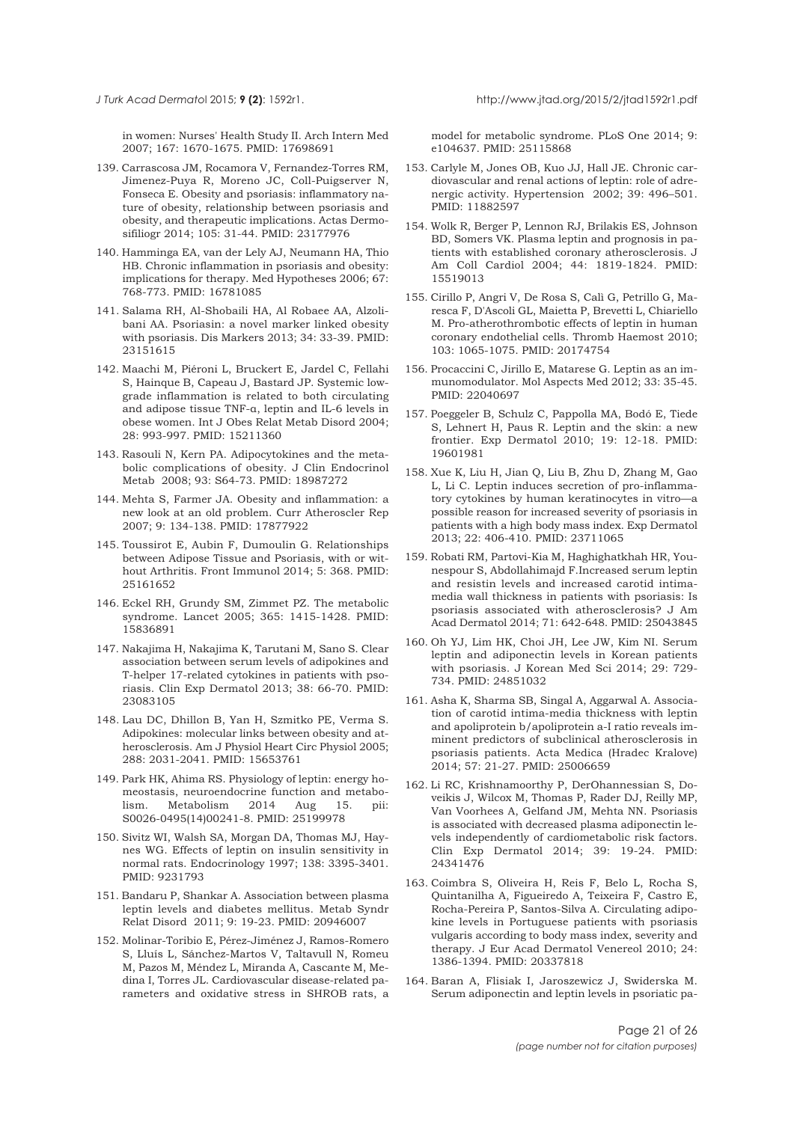in women: Nurses' Health Study II. Arch Intern Med 2007; 167: 1670-1675. PMID: 17698691

- 139. Carrascosa JM, Rocamora V, Fernandez-Torres RM, Jimenez-Puya R, Moreno JC, Coll-Puigserver N, Fonseca E. Obesity and psoriasis: inflammatory nature of obesity, relationship between psoriasis and obesity, and therapeutic implications. Actas Dermosifiliogr 2014; 105: 31-44. PMID: 23177976
- 140. Hamminga EA, van der Lely AJ, Neumann HA, Thio HB. Chronic inflammation in psoriasis and obesity: implications for therapy. Med Hypotheses 2006; 67: 768-773. PMID: 16781085
- 141. Salama RH, Al-Shobaili HA, Al Robaee AA, Alzolibani AA. Psoriasin: a novel marker linked obesity with psoriasis. Dis Markers 2013; 34: 33-39. PMID: 23151615
- 142. Maachi M, Piéroni L, Bruckert E, Jardel C, Fellahi S, Hainque B, Capeau J, Bastard JP. Systemic lowgrade inflammation is related to both circulating and adipose tissue TNF-α, leptin and IL-6 levels in obese women. Int J Obes Relat Metab Disord 2004; 28: 993-997. PMID: 15211360
- 143. Rasouli N, Kern PA. Adipocytokines and the metabolic complications of obesity. J Clin Endocrinol Metab 2008; 93: S64-73. PMID: 18987272
- 144. Mehta S, Farmer JA. Obesity and inflammation: a new look at an old problem. Curr Atheroscler Rep 2007; 9: 134-138. PMID: 17877922
- 145. Toussirot E, Aubin F, Dumoulin G. Relationships between Adipose Tissue and Psoriasis, with or without Arthritis. Front Immunol 2014; 5: 368. PMID: 25161652
- 146. Eckel RH, Grundy SM, Zimmet PZ. The metabolic syndrome. Lancet 2005; 365: 1415-1428. PMID: 15836891
- 147. Nakajima H, Nakajima K, Tarutani M, Sano S. Clear association between serum levels of adipokines and T-helper 17-related cytokines in patients with psoriasis. Clin Exp Dermatol 2013; 38: 66-70. PMID: 23083105
- 148. Lau DC, Dhillon B, Yan H, Szmitko PE, Verma S. Adipokines: molecular links between obesity and atherosclerosis. Am J Physiol Heart Circ Physiol 2005; 288: 2031-2041. PMID: 15653761
- 149. Park HK, Ahima RS. Physiology of leptin: energy homeostasis, neuroendocrine function and metabolism. Metabolism 2014 Aug 15. pii: S0026-0495(14)00241-8. PMID: 25199978
- 150. Sivitz WI, Walsh SA, Morgan DA, Thomas MJ, Haynes WG. Effects of leptin on insulin sensitivity in normal rats. Endocrinology 1997; 138: 3395-3401. PMID: 9231793
- 151. Bandaru P, Shankar A. Association between plasma leptin levels and diabetes mellitus. Metab Syndr Relat Disord 2011; 9: 19-23. PMID: 20946007
- 152. Molinar-Toribio E, Pérez-Jiménez J, Ramos-Romero S, Lluís L, Sánchez-Martos V, Taltavull N, Romeu M, Pazos M, Méndez L, Miranda A, Cascante M, Medina I, Torres JL. Cardiovascular disease-related parameters and oxidative stress in SHROB rats, a

model for metabolic syndrome. PLoS One 2014; 9: e104637. PMID: 25115868

- 153. Carlyle M, Jones OB, Kuo JJ, Hall JE. Chronic cardiovascular and renal actions of leptin: role of adrenergic activity. Hypertension 2002; 39: 496–501. PMID: 11882597
- 154. Wolk R, Berger P, Lennon RJ, Brilakis ES, Johnson BD, Somers VK. Plasma leptin and prognosis in patients with established coronary atherosclerosis. J Am Coll Cardiol 2004; 44: 1819-1824. PMID: 15519013
- 155. Cirillo P, Angri V, De Rosa S, Calì G, Petrillo G, Maresca F, D'Ascoli GL, Maietta P, Brevetti L, Chiariello M. Pro-atherothrombotic effects of leptin in human coronary endothelial cells. Thromb Haemost 2010; 103: 1065-1075. PMID: 20174754
- 156. Procaccini C, Jirillo E, Matarese G. Leptin as an immunomodulator. Mol Aspects Med 2012; 33: 35-45. PMID: 22040697
- 157. Poeggeler B, Schulz C, Pappolla MA, Bodó E, Tiede S, Lehnert H, Paus R. Leptin and the skin: a new frontier. Exp Dermatol 2010; 19: 12-18. PMID: 19601981
- 158. Xue K, Liu H, Jian Q, Liu B, Zhu D, Zhang M, Gao L, Li C. Leptin induces secretion of pro-inflammatory cytokines by human keratinocytes in vitro—a possible reason for increased severity of psoriasis in patients with a high body mass index. Exp Dermatol 2013; 22: 406-410. PMID: 23711065
- 159. Robati RM, Partovi-Kia M, Haghighatkhah HR, Younespour S, Abdollahimajd F.Increased serum leptin and resistin levels and increased carotid intimamedia wall thickness in patients with psoriasis: Is psoriasis associated with atherosclerosis? J Am Acad Dermatol 2014; 71: 642-648. PMID: 25043845
- 160. Oh YJ, Lim HK, Choi JH, Lee JW, Kim NI. Serum leptin and adiponectin levels in Korean patients with psoriasis. J Korean Med Sci 2014; 29: 729- 734. PMID: 24851032
- 161. Asha K, Sharma SB, Singal A, Aggarwal A. Association of carotid intima-media thickness with leptin and apoliprotein b/apoliprotein a-I ratio reveals imminent predictors of subclinical atherosclerosis in psoriasis patients. Acta Medica (Hradec Kralove) 2014; 57: 21-27. PMID: 25006659
- 162. Li RC, Krishnamoorthy P, DerOhannessian S, Doveikis J, Wilcox M, Thomas P, Rader DJ, Reilly MP, Van Voorhees A, Gelfand JM, Mehta NN. Psoriasis is associated with decreased plasma adiponectin levels independently of cardiometabolic risk factors. Clin Exp Dermatol 2014; 39: 19-24. PMID: 24341476
- 163. Coimbra S, Oliveira H, Reis F, Belo L, Rocha S, Quintanilha A, Figueiredo A, Teixeira F, Castro E, Rocha-Pereira P, Santos-Silva A. Circulating adipokine levels in Portuguese patients with psoriasis vulgaris according to body mass index, severity and therapy. J Eur Acad Dermatol Venereol 2010; 24: 1386-1394. PMID: 20337818
- 164. Baran A, Flisiak I, Jaroszewicz J, Swiderska M. Serum adiponectin and leptin levels in psoriatic pa-

<span id="page-20-0"></span>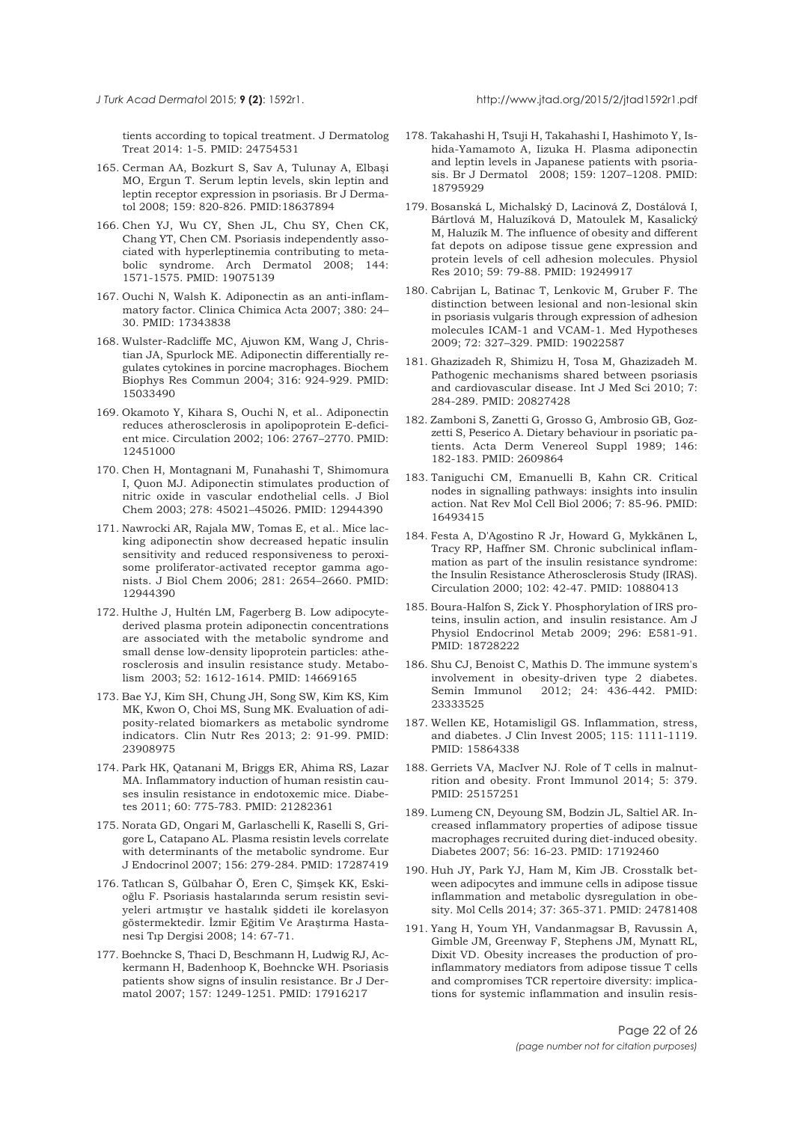<span id="page-21-0"></span>tients according to topical treatment. J Dermatolog Treat 2014: 1-5. PMID: 24754531

- 165. Cerman AA, Bozkurt S, Sav A, Tulunay A, Elbaşi MO, Ergun T. Serum leptin levels, skin leptin and leptin receptor expression in psoriasis. Br J Dermatol 2008; 159: 820-826. PMID:18637894
- 166. Chen YJ, Wu CY, Shen JL, Chu SY, Chen CK, Chang YT, Chen CM. Psoriasis independently associated with hyperleptinemia contributing to metabolic syndrome. Arch Dermatol 2008; 144: 1571-1575. PMID: 19075139
- 167. Ouchi N, Walsh K. Adiponectin as an anti-inflammatory factor. Clinica Chimica Acta 2007; 380: 24– 30. PMID: 17343838
- 168. Wulster-Radcliffe MC, Ajuwon KM, Wang J, Christian JA, Spurlock ME. Adiponectin differentially regulates cytokines in porcine macrophages. Biochem Biophys Res Commun 2004; 316: 924-929. PMID: 15033490
- 169. Okamoto Y, Kihara S, Ouchi N, et al.. Adiponectin reduces atherosclerosis in apolipoprotein E-deficient mice. Circulation 2002; 106: 2767–2770. PMID: 12451000
- 170. Chen H, Montagnani M, Funahashi T, Shimomura I, Quon MJ. Adiponectin stimulates production of nitric oxide in vascular endothelial cells. J Biol Chem 2003; 278: 45021–45026. PMID: 12944390
- 171. Nawrocki AR, Rajala MW, Tomas E, et al.. Mice lacking adiponectin show decreased hepatic insulin sensitivity and reduced responsiveness to peroxisome proliferator-activated receptor gamma agonists. J Biol Chem 2006; 281: 2654–2660. PMID: 12944390
- 172. Hulthe J, Hultén LM, Fagerberg B. Low adipocytederived plasma protein adiponectin concentrations are associated with the metabolic syndrome and small dense low-density lipoprotein particles: atherosclerosis and insulin resistance study. Metabolism 2003; 52: 1612-1614. PMID: 14669165
- 173. Bae YJ, Kim SH, Chung JH, Song SW, Kim KS, Kim MK, Kwon O, Choi MS, Sung MK. Evaluation of adiposity-related biomarkers as metabolic syndrome indicators. Clin Nutr Res 2013; 2: 91-99. PMID: 23908975
- 174. Park HK, Qatanani M, Briggs ER, Ahima RS, Lazar MA. Inflammatory induction of human resistin causes insulin resistance in endotoxemic mice. Diabetes 2011; 60: 775-783. PMID: 21282361
- 175. Norata GD, Ongari M, Garlaschelli K, Raselli S, Grigore L, Catapano AL. Plasma resistin levels correlate with determinants of the metabolic syndrome. Eur J Endocrinol 2007; 156: 279-284. PMID: 17287419
- 176. Tatlıcan S, Gülbahar Ö, Eren C, Şimşek KK, Eskioğlu F. Psoriasis hastalarında serum resistin seviyeleri artmıştır ve hastalık şiddeti ile korelasyon göstermektedir. İzmir Eğitim Ve Araştırma Hastanesi Tıp Dergisi 2008; 14: 67-71.
- 177. Boehncke S, Thaci D, Beschmann H, Ludwig RJ, Ackermann H, Badenhoop K, Boehncke WH. Psoriasis patients show signs of insulin resistance. Br J Dermatol 2007; 157: 1249-1251. PMID: 17916217
- 178. Takahashi H, Tsuji H, Takahashi I, Hashimoto Y, Ishida-Yamamoto A, Iizuka H. Plasma adiponectin and leptin levels in Japanese patients with psoriasis. Br J Dermatol 2008; 159: 1207–1208. PMID: 18795929
- 179. Bosanská L, Michalský D, Lacinová Z, Dostálová I, Bártlová M, Haluzíková D, Matoulek M, Kasalický M, Haluzík M. The influence of obesity and different fat depots on adipose tissue gene expression and protein levels of cell adhesion molecules. Physiol Res 2010; 59: 79-88. PMID: 19249917
- 180. Cabrijan L, Batinac T, Lenkovic M, Gruber F. The distinction between lesional and non-lesional skin in psoriasis vulgaris through expression of adhesion molecules ICAM-1 and VCAM-1. Med Hypotheses 2009; 72: 327–329. PMID: 19022587
- 181. Ghazizadeh R, Shimizu H, Tosa M, Ghazizadeh M. Pathogenic mechanisms shared between psoriasis and cardiovascular disease. Int J Med Sci 2010; 7: 284-289. PMID: 20827428
- 182. Zamboni S, Zanetti G, Grosso G, Ambrosio GB, Gozzetti S, Peserico A. Dietary behaviour in psoriatic patients. Acta Derm Venereol Suppl 1989; 146: 182-183. PMID: 2609864
- 183. Taniguchi CM, Emanuelli B, Kahn CR. Critical nodes in signalling pathways: insights into insulin action. Nat Rev Mol Cell Biol 2006; 7: 85-96. PMID: 16493415
- 184. Festa A, D'Agostino R Jr, Howard G, Mykkänen L, Tracy RP, Haffner SM. Chronic subclinical inflammation as part of the insulin resistance syndrome: the Insulin Resistance Atherosclerosis Study (IRAS). Circulation 2000; 102: 42-47. PMID: 10880413
- 185. Boura-Halfon S, Zick Y. Phosphorylation of IRS proteins, insulin action, and insulin resistance. Am J Physiol Endocrinol Metab 2009; 296: E581-91. PMID: 18728222
- 186. Shu CJ, Benoist C, Mathis D. The immune system's involvement in obesity-driven type 2 diabetes. Semin Immunol 2012; 24: 436-442. PMID: 23333525
- 187. Wellen KE, Hotamisligil GS. Inflammation, stress, and diabetes. J Clin Invest 2005; 115: 1111-1119. PMID: 15864338
- 188. Gerriets VA, MacIver NJ. Role of T cells in malnutrition and obesity. Front Immunol 2014; 5: 379. PMID: 25157251
- 189. Lumeng CN, Deyoung SM, Bodzin JL, Saltiel AR. Increased inflammatory properties of adipose tissue macrophages recruited during diet-induced obesity. Diabetes 2007; 56: 16-23. PMID: 17192460
- 190. Huh JY, Park YJ, Ham M, Kim JB. Crosstalk between adipocytes and immune cells in adipose tissue inflammation and metabolic dysregulation in obesity. Mol Cells 2014; 37: 365-371. PMID: 24781408
- 191. Yang H, Youm YH, Vandanmagsar B, Ravussin A, Gimble JM, Greenway F, Stephens JM, Mynatt RL, Dixit VD. Obesity increases the production of proinflammatory mediators from adipose tissue T cells and compromises TCR repertoire diversity: implications for systemic inflammation and insulin resis-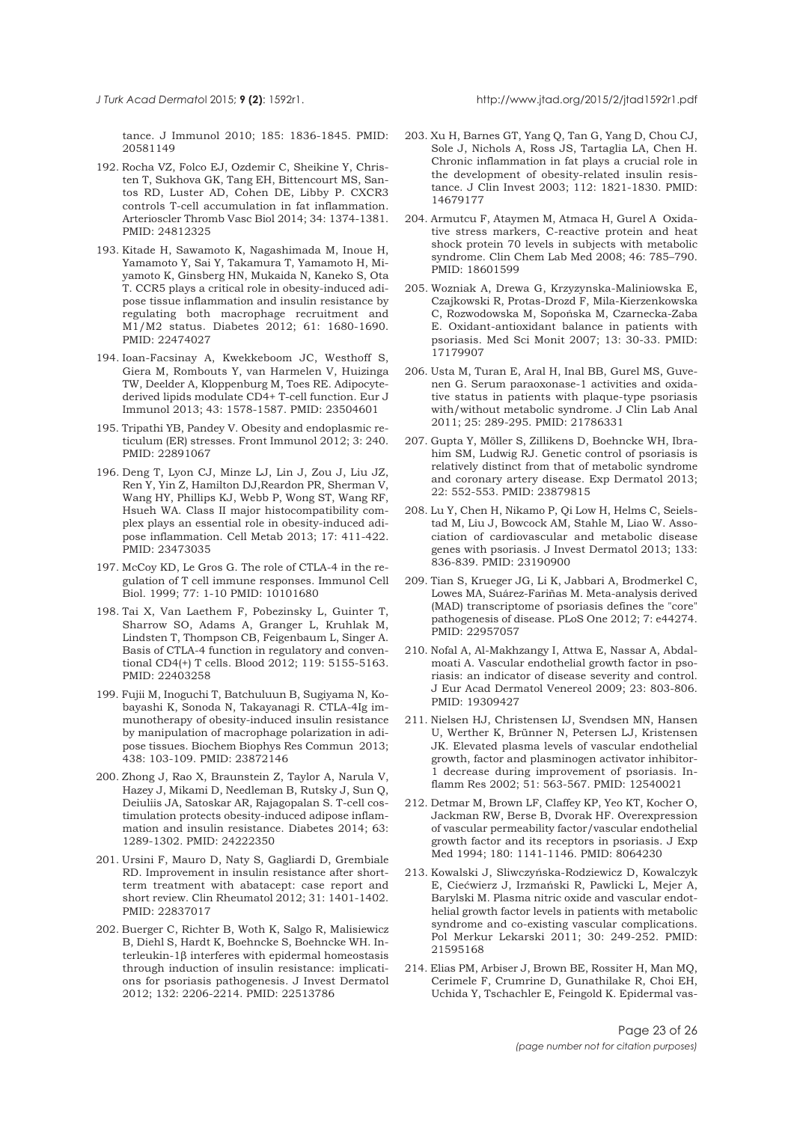<span id="page-22-0"></span>tance. J Immunol 2010; 185: 1836-1845. PMID: 20581149

- 192. Rocha VZ, Folco EJ, Ozdemir C, Sheikine Y, Christen T, Sukhova GK, Tang EH, Bittencourt MS, Santos RD, Luster AD, Cohen DE, Libby P. CXCR3 controls T-cell accumulation in fat inflammation. Arterioscler Thromb Vasc Biol 2014; 34: 1374-1381. PMID: 24812325
- 193. Kitade H, Sawamoto K, Nagashimada M, Inoue H, Yamamoto Y, Sai Y, Takamura T, Yamamoto H, Miyamoto K, Ginsberg HN, Mukaida N, Kaneko S, Ota T. CCR5 plays a critical role in obesity-induced adipose tissue inflammation and insulin resistance by regulating both macrophage recruitment and M1/M2 status. Diabetes 2012; 61: 1680-1690. PMID: 22474027
- 194. Ioan-Facsinay A, Kwekkeboom JC, Westhoff S, Giera M, Rombouts Y, van Harmelen V, Huizinga TW, Deelder A, Kloppenburg M, Toes RE. Adipocytederived lipids modulate CD4+ T-cell function. Eur J Immunol 2013; 43: 1578-1587. PMID: 23504601
- 195. Tripathi YB, Pandey V. Obesity and endoplasmic reticulum (ER) stresses. Front Immunol 2012; 3: 240. PMID: 22891067
- 196. Deng T, Lyon CJ, Minze LJ, Lin J, Zou J, Liu JZ, Ren Y, Yin Z, Hamilton DJ,Reardon PR, Sherman V, Wang HY, Phillips KJ, Webb P, Wong ST, Wang RF, Hsueh WA. Class II major histocompatibility complex plays an essential role in obesity-induced adipose inflammation. Cell Metab 2013; 17: 411-422. PMID: 23473035
- 197. McCoy KD, Le Gros G. The role of CTLA-4 in the regulation of T cell immune responses. Immunol Cell Biol. 1999; 77: 1-10 PMID: 10101680
- 198. Tai X, Van Laethem F, Pobezinsky L, Guinter T, Sharrow SO, Adams A, Granger L, Kruhlak M, Lindsten T, Thompson CB, Feigenbaum L, Singer A. Basis of CTLA-4 function in regulatory and conventional CD4(+) T cells. Blood 2012; 119: 5155-5163. PMID: 22403258
- 199. Fujii M, Inoguchi T, Batchuluun B, Sugiyama N, Kobayashi K, Sonoda N, Takayanagi R. CTLA-4Ig immunotherapy of obesity-induced insulin resistance by manipulation of macrophage polarization in adipose tissues. Biochem Biophys Res Commun 2013; 438: 103-109. PMID: 23872146
- 200. Zhong J, Rao X, Braunstein Z, Taylor A, Narula V, Hazey J, Mikami D, Needleman B, Rutsky J, Sun Q, Deiuliis JA, Satoskar AR, Rajagopalan S. T-cell costimulation protects obesity-induced adipose inflammation and insulin resistance. Diabetes 2014; 63: 1289-1302. PMID: 24222350
- 201. Ursini F, Mauro D, Naty S, Gagliardi D, Grembiale RD. Improvement in insulin resistance after shortterm treatment with abatacept: case report and short review. Clin Rheumatol 2012; 31: 1401-1402. PMID: 22837017
- 202. Buerger C, Richter B, Woth K, Salgo R, Malisiewicz B, Diehl S, Hardt K, Boehncke S, Boehncke WH. Interleukin-1β interferes with epidermal homeostasis through induction of insulin resistance: implications for psoriasis pathogenesis. J Invest Dermatol 2012; 132: 2206-2214. PMID: 22513786
- 203. Xu H, Barnes GT, Yang Q, Tan G, Yang D, Chou CJ, Sole J, Nichols A, Ross JS, Tartaglia LA, Chen H. Chronic inflammation in fat plays a crucial role in the development of obesity-related insulin resistance. J Clin Invest 2003; 112: 1821-1830. PMID: 14679177
- 204. Armutcu F, Ataymen M, Atmaca H, Gurel A Oxidative stress markers, C-reactive protein and heat shock protein 70 levels in subjects with metabolic syndrome. Clin Chem Lab Med 2008; 46: 785–790. PMID: 18601599
- 205. Wozniak A, Drewa G, Krzyzynska-Maliniowska E, Czajkowski R, Protas-Drozd F, Mila-Kierzenkowska C, Rozwodowska M, Sopońska M, Czarnecka-Zaba E. Oxidant-antioxidant balance in patients with psoriasis. Med Sci Monit 2007; 13: 30-33. PMID: 17179907
- 206. Usta M, Turan E, Aral H, Inal BB, Gurel MS, Guvenen G. Serum paraoxonase-1 activities and oxidative status in patients with plaque-type psoriasis with/without metabolic syndrome. J Clin Lab Anal 2011; 25: 289-295. PMID: 21786331
- 207. Gupta Y, Möller S, Zillikens D, Boehncke WH, Ibrahim SM, Ludwig RJ. Genetic control of psoriasis is relatively distinct from that of metabolic syndrome and coronary artery disease. Exp Dermatol 2013; 22: 552-553. PMID: 23879815
- 208. Lu Y, Chen H, Nikamo P, Qi Low H, Helms C, Seielstad M, Liu J, Bowcock AM, Stahle M, Liao W. Association of cardiovascular and metabolic disease genes with psoriasis. J Invest Dermatol 2013; 133: 836-839. PMID: 23190900
- 209. Tian S, Krueger JG, Li K, Jabbari A, Brodmerkel C, Lowes MA, Suárez-Fariñas M. Meta-analysis derived (MAD) transcriptome of psoriasis defines the "core" pathogenesis of disease. PLoS One 2012; 7: e44274. PMID: 22957057
- 210. Nofal A, Al-Makhzangy I, Attwa E, Nassar A, Abdalmoati A. Vascular endothelial growth factor in psoriasis: an indicator of disease severity and control. J Eur Acad Dermatol Venereol 2009; 23: 803-806. PMID: 19309427
- 211. Nielsen HJ, Christensen IJ, Svendsen MN, Hansen U, Werther K, Brünner N, Petersen LJ, Kristensen JK. Elevated plasma levels of vascular endothelial growth, factor and plasminogen activator inhibitor-1 decrease during improvement of psoriasis. Inflamm Res 2002; 51: 563-567. PMID: 12540021
- 212. Detmar M, Brown LF, Claffey KP, Yeo KT, Kocher O, Jackman RW, Berse B, Dvorak HF. Overexpression of vascular permeability factor/vascular endothelial growth factor and its receptors in psoriasis. J Exp Med 1994; 180: 1141-1146. PMID: 8064230
- 213. Kowalski J, Sliwczyńska-Rodziewicz D, Kowalczyk E, Ciećwierz J, Irzmański R, Pawlicki L, Mejer A, Barylski M. Plasma nitric oxide and vascular endothelial growth factor levels in patients with metabolic syndrome and co-existing vascular complications. Pol Merkur Lekarski 2011; 30: 249-252. PMID: 21595168
- 214. Elias PM, Arbiser J, Brown BE, Rossiter H, Man MQ, Cerimele F, Crumrine D, Gunathilake R, Choi EH, Uchida Y, Tschachler E, Feingold K. Epidermal vas-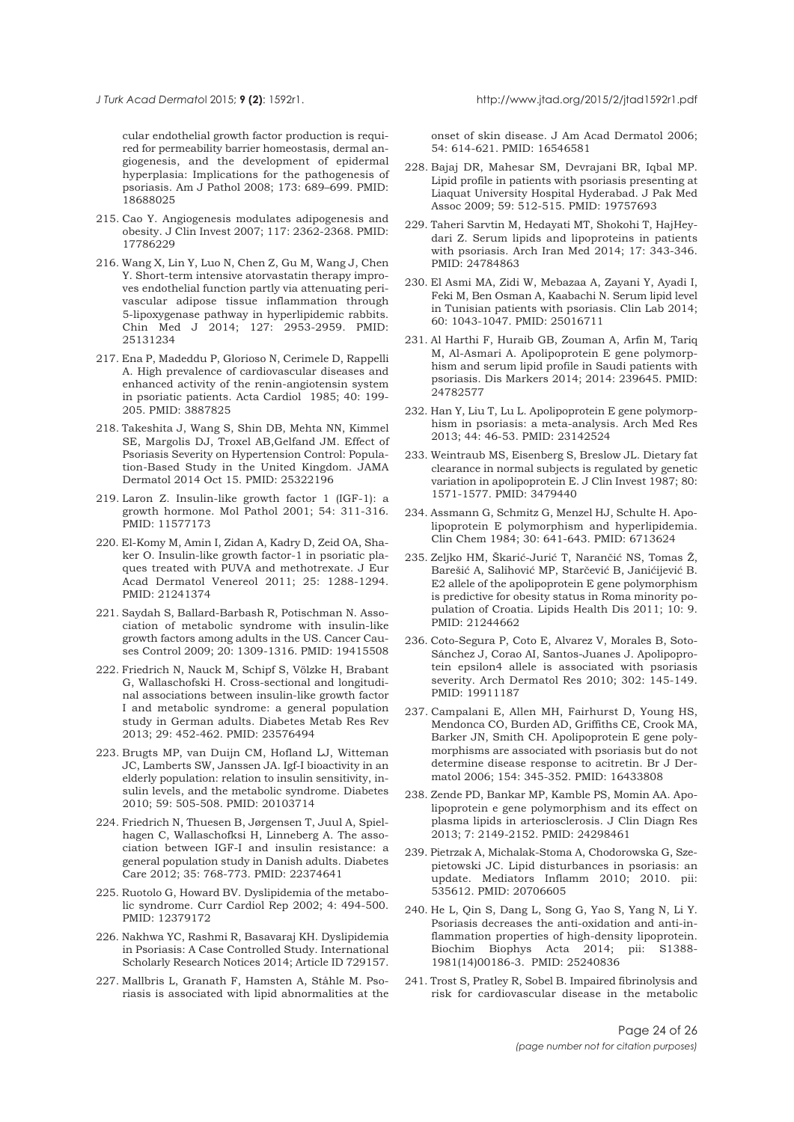<span id="page-23-0"></span>cular endothelial growth factor production is required for permeability barrier homeostasis, dermal angiogenesis, and the development of epidermal hyperplasia: Implications for the pathogenesis of psoriasis. Am J Pathol 2008; 173: 689–699. PMID: 18688025

- 215. Cao Y. Angiogenesis modulates adipogenesis and obesity. J Clin Invest 2007; 117: 2362-2368. PMID: 17786229
- 216. Wang X, Lin Y, Luo N, Chen Z, Gu M, Wang J, Chen Y. Short-term intensive atorvastatin therapy improves endothelial function partly via attenuating perivascular adipose tissue inflammation through 5-lipoxygenase pathway in hyperlipidemic rabbits. Chin Med J 2014; 127: 2953-2959. PMID: 25131234
- 217. Ena P, Madeddu P, Glorioso N, Cerimele D, Rappelli A. High prevalence of cardiovascular diseases and enhanced activity of the renin-angiotensin system in psoriatic patients. Acta Cardiol 1985; 40: 199- 205. PMID: 3887825
- 218. Takeshita J, Wang S, Shin DB, Mehta NN, Kimmel SE, Margolis DJ, Troxel AB,Gelfand JM. Effect of Psoriasis Severity on Hypertension Control: Population-Based Study in the United Kingdom. JAMA Dermatol 2014 Oct 15. PMID: 25322196
- 219. Laron Z. Insulin-like growth factor 1 (IGF-1): a growth hormone. Mol Pathol 2001; 54: 311-316. PMID: 11577173
- 220. El-Komy M, Amin I, Zidan A, Kadry D, Zeid OA, Shaker O. Insulin-like growth factor-1 in psoriatic plaques treated with PUVA and methotrexate. J Eur Acad Dermatol Venereol 2011; 25: 1288-1294. PMID: 21241374
- 221. Saydah S, Ballard-Barbash R, Potischman N. Association of metabolic syndrome with insulin-like growth factors among adults in the US. Cancer Causes Control 2009; 20: 1309-1316. PMID: 19415508
- 222. Friedrich N, Nauck M, Schipf S, Völzke H, Brabant G, Wallaschofski H. Cross-sectional and longitudinal associations between insulin-like growth factor I and metabolic syndrome: a general population study in German adults. Diabetes Metab Res Rev 2013; 29: 452-462. PMID: 23576494
- 223. Brugts MP, van Duijn CM, Hofland LJ, Witteman JC, Lamberts SW, Janssen JA. Igf-I bioactivity in an elderly population: relation to insulin sensitivity, insulin levels, and the metabolic syndrome. Diabetes 2010; 59: 505-508. PMID: 20103714
- 224. Friedrich N, Thuesen B, Jørgensen T, Juul A, Spielhagen C, Wallaschofksi H, Linneberg A. The association between IGF-I and insulin resistance: a general population study in Danish adults. Diabetes Care 2012; 35: 768-773. PMID: 22374641
- 225. Ruotolo G, Howard BV. Dyslipidemia of the metabolic syndrome. Curr Cardiol Rep 2002; 4: 494-500. PMID: 12379172
- 226. Nakhwa YC, Rashmi R, Basavaraj KH. Dyslipidemia in Psoriasis: A Case Controlled Study. International Scholarly Research Notices 2014; Article ID 729157.
- 227. Mallbris L, Granath F, Hamsten A, Ståhle M. Psoriasis is associated with lipid abnormalities at the

onset of skin disease. J Am Acad Dermatol 2006; 54: 614-621. PMID: 16546581

- 228. Bajaj DR, Mahesar SM, Devrajani BR, Iqbal MP. Lipid profile in patients with psoriasis presenting at Liaquat University Hospital Hyderabad. J Pak Med Assoc 2009; 59: 512-515. PMID: 19757693
- 229. Taheri Sarvtin M, Hedayati MT, Shokohi T, HajHeydari Z. Serum lipids and lipoproteins in patients with psoriasis. Arch Iran Med 2014; 17: 343-346. PMID: 24784863
- 230. El Asmi MA, Zidi W, Mebazaa A, Zayani Y, Ayadi I, Feki M, Ben Osman A, Kaabachi N. Serum lipid level in Tunisian patients with psoriasis. Clin Lab 2014; 60: 1043-1047. PMID: 25016711
- 231. Al Harthi F, Huraib GB, Zouman A, Arfin M, Tariq M, Al-Asmari A. Apolipoprotein E gene polymorphism and serum lipid profile in Saudi patients with psoriasis. Dis Markers 2014; 2014: 239645. PMID: 24782577
- 232. Han Y, Liu T, Lu L. Apolipoprotein E gene polymorphism in psoriasis: a meta-analysis. Arch Med Res 2013; 44: 46-53. PMID: 23142524
- 233. Weintraub MS, Eisenberg S, Breslow JL. Dietary fat clearance in normal subjects is regulated by genetic variation in apolipoprotein E. J Clin Invest 1987; 80: 1571-1577. PMID: 3479440
- 234. Assmann G, Schmitz G, Menzel HJ, Schulte H. Apolipoprotein E polymorphism and hyperlipidemia. Clin Chem 1984; 30: 641-643. PMID: 6713624
- 235. Zeljko HM, Škarić-Jurić T, Narančić NS, Tomas Ž, Barešić A, Salihović MP, Starčević B, Janićijević B. E2 allele of the apolipoprotein E gene polymorphism is predictive for obesity status in Roma minority population of Croatia. Lipids Health Dis 2011; 10: 9. PMID: 21244662
- 236. Coto-Segura P, Coto E, Alvarez V, Morales B, Soto-Sánchez J, Corao AI, Santos-Juanes J. Apolipoprotein epsilon4 allele is associated with psoriasis severity. Arch Dermatol Res 2010; 302: 145-149. PMID: 19911187
- 237. Campalani E, Allen MH, Fairhurst D, Young HS, Mendonca CO, Burden AD, Griffiths CE, Crook MA, Barker JN, Smith CH. Apolipoprotein E gene polymorphisms are associated with psoriasis but do not determine disease response to acitretin. Br J Dermatol 2006; 154: 345-352. PMID: 16433808
- 238. Zende PD, Bankar MP, Kamble PS, Momin AA. Apolipoprotein e gene polymorphism and its effect on plasma lipids in arteriosclerosis. J Clin Diagn Res 2013; 7: 2149-2152. PMID: 24298461
- 239. Pietrzak A, Michalak-Stoma A, Chodorowska G, Szepietowski JC. Lipid disturbances in psoriasis: an update. Mediators Inflamm 2010; 2010. pii: 535612. PMID: 20706605
- 240. He L, Qin S, Dang L, Song G, Yao S, Yang N, Li Y. Psoriasis decreases the anti-oxidation and anti-inflammation properties of high-density lipoprotein. Biochim Biophys Acta 2014; pii: S1388- 1981(14)00186-3. PMID: 25240836
- 241. Trost S, Pratley R, Sobel B. Impaired fibrinolysis and risk for cardiovascular disease in the metabolic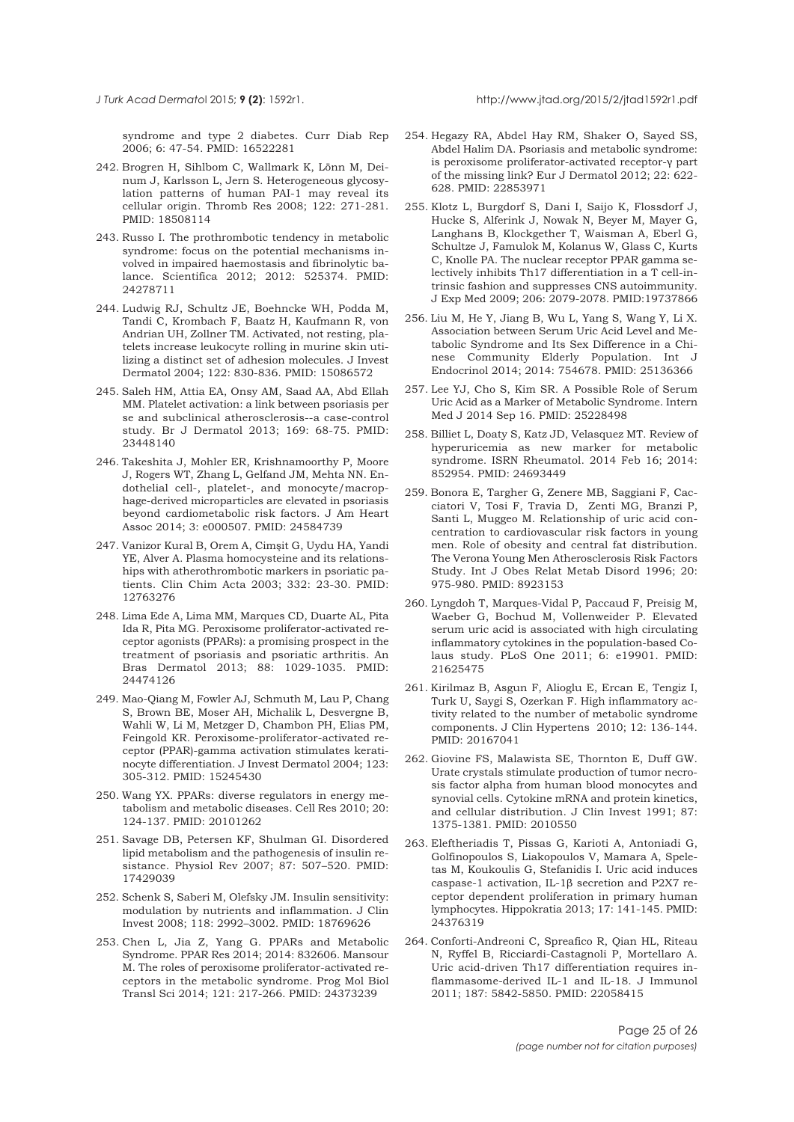syndrome and type 2 diabetes. Curr Diab Rep 2006; 6: 47-54. PMID: 16522281

- 242. Brogren H, Sihlbom C, Wallmark K, Lönn M, Deinum J, Karlsson L, Jern S. Heterogeneous glycosylation patterns of human PAI-1 may reveal its cellular origin. Thromb Res 2008; 122: 271-281. PMID: 18508114
- 243. Russo I. The prothrombotic tendency in metabolic syndrome: focus on the potential mechanisms involved in impaired haemostasis and fibrinolytic balance. Scientifica 2012; 2012: 525374. PMID: 24278711
- 244. Ludwig RJ, Schultz JE, Boehncke WH, Podda M, Tandi C, Krombach F, Baatz H, Kaufmann R, von Andrian UH, Zollner TM. Activated, not resting, platelets increase leukocyte rolling in murine skin utilizing a distinct set of adhesion molecules. J Invest Dermatol 2004; 122: 830-836. PMID: 15086572
- 245. Saleh HM, Attia EA, Onsy AM, Saad AA, Abd Ellah MM. Platelet activation: a link between psoriasis per se and subclinical atherosclerosis--a case-control study. Br J Dermatol 2013; 169: 68-75. PMID: 23448140
- 246. Takeshita J, Mohler ER, Krishnamoorthy P, Moore J, Rogers WT, Zhang L, Gelfand JM, Mehta NN. Endothelial cell-, platelet-, and monocyte/macrophage-derived microparticles are elevated in psoriasis beyond cardiometabolic risk factors. J Am Heart Assoc 2014; 3: e000507. PMID: 24584739
- 247. Vanizor Kural B, Orem A, Cimşit G, Uydu HA, Yandi YE, Alver A. Plasma homocysteine and its relationships with atherothrombotic markers in psoriatic patients. Clin Chim Acta 2003; 332: 23-30. PMID: 12763276
- 248. Lima Ede A, Lima MM, Marques CD, Duarte AL, Pita Ida R, Pita MG. Peroxisome proliferator-activated receptor agonists (PPARs): a promising prospect in the treatment of psoriasis and psoriatic arthritis. An Bras Dermatol 2013; 88: 1029-1035. PMID: 24474126
- 249. Mao-Qiang M, Fowler AJ, Schmuth M, Lau P, Chang S, Brown BE, Moser AH, Michalik L, Desvergne B, Wahli W, Li M, Metzger D, Chambon PH, Elias PM, Feingold KR. Peroxisome-proliferator-activated receptor (PPAR)-gamma activation stimulates keratinocyte differentiation. J Invest Dermatol 2004; 123: 305-312. PMID: 15245430
- 250. Wang YX. PPARs: diverse regulators in energy metabolism and metabolic diseases. Cell Res 2010; 20: 124-137. PMID: 20101262
- 251. Savage DB, Petersen KF, Shulman GI. Disordered lipid metabolism and the pathogenesis of insulin resistance. Physiol Rev 2007; 87: 507–520. PMID: 17429039
- 252. Schenk S, Saberi M, Olefsky JM. Insulin sensitivity: modulation by nutrients and inflammation. J Clin Invest 2008; 118: 2992–3002. PMID: 18769626
- 253. Chen L, Jia Z, Yang G. PPARs and Metabolic Syndrome. PPAR Res 2014; 2014: 832606. Mansour M. The roles of peroxisome proliferator-activated receptors in the metabolic syndrome. Prog Mol Biol Transl Sci 2014; 121: 217-266. PMID: 24373239
- 254. Hegazy RA, Abdel Hay RM, Shaker O, Sayed SS, Abdel Halim DA. Psoriasis and metabolic syndrome: is peroxisome proliferator-activated receptor-γ part of the missing link? Eur J Dermatol 2012; 22: 622- 628. PMID: 22853971
- 255. Klotz L, Burgdorf S, Dani I, Saijo K, Flossdorf J, Hucke S, Alferink J, Nowak N, Beyer M, Mayer G, Langhans B, Klockgether T, Waisman A, Eberl G, Schultze J, Famulok M, Kolanus W, Glass C, Kurts C, Knolle PA. The nuclear receptor PPAR gamma selectively inhibits Th17 differentiation in a T cell-intrinsic fashion and suppresses CNS autoimmunity. J Exp Med 2009; 206: 2079-2078. PMID:19737866
- 256. Liu M, He Y, Jiang B, Wu L, Yang S, Wang Y, Li X. Association between Serum Uric Acid Level and Metabolic Syndrome and Its Sex Difference in a Chinese Community Elderly Population. Int J Endocrinol 2014; 2014: 754678. PMID: 25136366
- 257. Lee YJ, Cho S, Kim SR. A Possible Role of Serum Uric Acid as a Marker of Metabolic Syndrome. Intern Med J 2014 Sep 16. PMID: 25228498
- 258. Billiet L, Doaty S, Katz JD, Velasquez MT. Review of hyperuricemia as new marker for metabolic syndrome. ISRN Rheumatol. 2014 Feb 16; 2014: 852954. PMID: 24693449
- 259. Bonora E, Targher G, Zenere MB, Saggiani F, Cacciatori V, Tosi F, Travia D, Zenti MG, Branzi P, Santi L, Muggeo M. Relationship of uric acid concentration to cardiovascular risk factors in young men. Role of obesity and central fat distribution. The Verona Young Men Atherosclerosis Risk Factors Study. Int J Obes Relat Metab Disord 1996; 20: 975-980. PMID: 8923153
- 260. Lyngdoh T, Marques-Vidal P, Paccaud F, Preisig M, Waeber G, Bochud M, Vollenweider P. Elevated serum uric acid is associated with high circulating inflammatory cytokines in the population-based Colaus study. PLoS One 2011; 6: e19901. PMID: 21625475
- 261. Kirilmaz B, Asgun F, Alioglu E, Ercan E, Tengiz I, Turk U, Saygi S, Ozerkan F. High inflammatory activity related to the number of metabolic syndrome components. J Clin Hypertens 2010; 12: 136-144. PMID: 20167041
- 262. Giovine FS, Malawista SE, Thornton E, Duff GW. Urate crystals stimulate production of tumor necrosis factor alpha from human blood monocytes and synovial cells. Cytokine mRNA and protein kinetics, and cellular distribution. J Clin Invest 1991; 87: 1375-1381. PMID: 2010550
- 263. Eleftheriadis T, Pissas G, Karioti A, Antoniadi G, Golfinopoulos S, Liakopoulos V, Mamara A, Speletas M, Koukoulis G, Stefanidis I. Uric acid induces caspase-1 activation, IL-1β secretion and P2X7 receptor dependent proliferation in primary human lymphocytes. Hippokratia 2013; 17: 141-145. PMID: 24376319
- 264. Conforti-Andreoni C, Spreafico R, Qian HL, Riteau N, Ryffel B, Ricciardi-Castagnoli P, Mortellaro A. Uric acid-driven Th17 differentiation requires inflammasome-derived IL-1 and IL-18. J Immunol 2011; 187: 5842-5850. PMID: 22058415

<span id="page-24-0"></span>